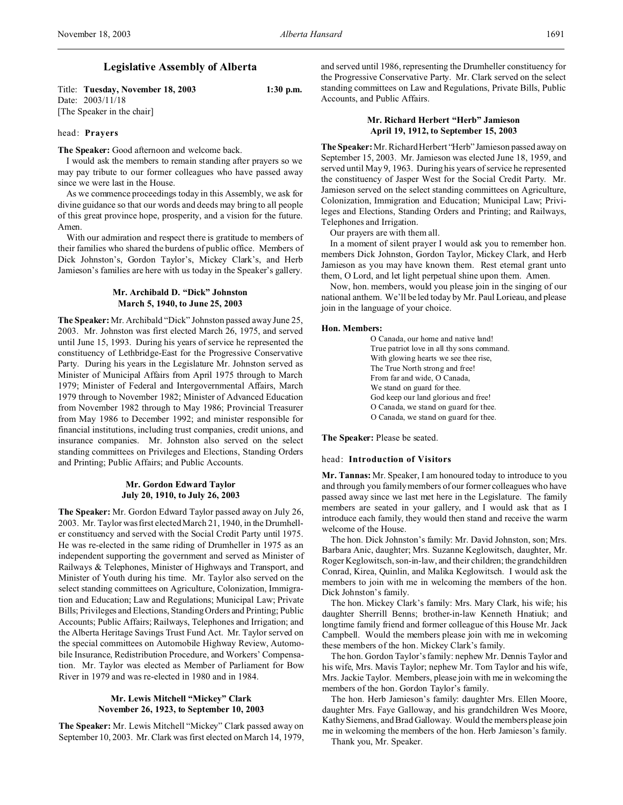# **Legislative Assembly of Alberta**

Title: **Tuesday, November 18, 2003 1:30 p.m.** Date: 2003/11/18 [The Speaker in the chair]

### head: **Prayers**

**The Speaker:** Good afternoon and welcome back.

I would ask the members to remain standing after prayers so we may pay tribute to our former colleagues who have passed away since we were last in the House.

As we commence proceedings today in this Assembly, we ask for divine guidance so that our words and deeds may bring to all people of this great province hope, prosperity, and a vision for the future. Amen.

With our admiration and respect there is gratitude to members of their families who shared the burdens of public office. Members of Dick Johnston's, Gordon Taylor's, Mickey Clark's, and Herb Jamieson's families are here with us today in the Speaker's gallery.

## **Mr. Archibald D. "Dick" Johnston March 5, 1940, to June 25, 2003**

**The Speaker:** Mr. Archibald "Dick" Johnston passed away June 25, 2003. Mr. Johnston was first elected March 26, 1975, and served until June 15, 1993. During his years of service he represented the constituency of Lethbridge-East for the Progressive Conservative Party. During his years in the Legislature Mr. Johnston served as Minister of Municipal Affairs from April 1975 through to March 1979; Minister of Federal and Intergovernmental Affairs, March 1979 through to November 1982; Minister of Advanced Education from November 1982 through to May 1986; Provincial Treasurer from May 1986 to December 1992; and minister responsible for financial institutions, including trust companies, credit unions, and insurance companies. Mr. Johnston also served on the select standing committees on Privileges and Elections, Standing Orders and Printing; Public Affairs; and Public Accounts.

### **Mr. Gordon Edward Taylor July 20, 1910, to July 26, 2003**

**The Speaker:** Mr. Gordon Edward Taylor passed away on July 26, 2003. Mr. Taylor was first elected March 21, 1940, in the Drumheller constituency and served with the Social Credit Party until 1975. He was re-elected in the same riding of Drumheller in 1975 as an independent supporting the government and served as Minister of Railways & Telephones, Minister of Highways and Transport, and Minister of Youth during his time. Mr. Taylor also served on the select standing committees on Agriculture, Colonization, Immigration and Education; Law and Regulations; Municipal Law; Private Bills; Privileges and Elections, Standing Orders and Printing; Public Accounts; Public Affairs; Railways, Telephones and Irrigation; and the Alberta Heritage Savings Trust Fund Act. Mr. Taylor served on the special committees on Automobile Highway Review, Automobile Insurance, Redistribution Procedure, and Workers' Compensation. Mr. Taylor was elected as Member of Parliament for Bow River in 1979 and was re-elected in 1980 and in 1984.

# **Mr. Lewis Mitchell "Mickey" Clark November 26, 1923, to September 10, 2003**

**The Speaker:** Mr. Lewis Mitchell "Mickey" Clark passed away on September 10, 2003. Mr. Clark was first elected on March 14, 1979, and served until 1986, representing the Drumheller constituency for the Progressive Conservative Party. Mr. Clark served on the select standing committees on Law and Regulations, Private Bills, Public Accounts, and Public Affairs.

### **Mr. Richard Herbert "Herb" Jamieson April 19, 1912, to September 15, 2003**

**The Speaker:** Mr. Richard Herbert "Herb" Jamieson passed away on September 15, 2003. Mr. Jamieson was elected June 18, 1959, and served until May 9, 1963. During his years of service he represented the constituency of Jasper West for the Social Credit Party. Mr. Jamieson served on the select standing committees on Agriculture, Colonization, Immigration and Education; Municipal Law; Privileges and Elections, Standing Orders and Printing; and Railways, Telephones and Irrigation.

Our prayers are with them all.

In a moment of silent prayer I would ask you to remember hon. members Dick Johnston, Gordon Taylor, Mickey Clark, and Herb Jamieson as you may have known them. Rest eternal grant unto them, O Lord, and let light perpetual shine upon them. Amen.

Now, hon. members, would you please join in the singing of our national anthem. We'll be led today by Mr. Paul Lorieau, and please join in the language of your choice.

#### **Hon. Members:**

O Canada, our home and native land! True patriot love in all thy sons command. With glowing hearts we see thee rise, The True North strong and free! From far and wide, O Canada, We stand on guard for thee. God keep our land glorious and free! O Canada, we stand on guard for thee. O Canada, we stand on guard for thee.

**The Speaker:** Please be seated.

#### head: **Introduction of Visitors**

**Mr. Tannas:** Mr. Speaker, I am honoured today to introduce to you and through you family members of our former colleagues who have passed away since we last met here in the Legislature. The family members are seated in your gallery, and I would ask that as I introduce each family, they would then stand and receive the warm welcome of the House.

The hon. Dick Johnston's family: Mr. David Johnston, son; Mrs. Barbara Anic, daughter; Mrs. Suzanne Keglowitsch, daughter, Mr. Roger Keglowitsch, son-in-law, and their children; the grandchildren Conrad, Kirea, Quinlin, and Malika Keglowitsch. I would ask the members to join with me in welcoming the members of the hon. Dick Johnston's family.

The hon. Mickey Clark's family: Mrs. Mary Clark, his wife; his daughter Sherrill Benns; brother-in-law Kenneth Hnatiuk; and longtime family friend and former colleague of this House Mr. Jack Campbell. Would the members please join with me in welcoming these members of the hon. Mickey Clark's family.

The hon. Gordon Taylor's family: nephew Mr. Dennis Taylor and his wife, Mrs. Mavis Taylor; nephew Mr. Tom Taylor and his wife, Mrs. Jackie Taylor. Members, please join with me in welcoming the members of the hon. Gordon Taylor's family.

The hon. Herb Jamieson's family: daughter Mrs. Ellen Moore, daughter Mrs. Faye Galloway, and his grandchildren Wes Moore, Kathy Siemens, and Brad Galloway. Would the members please join me in welcoming the members of the hon. Herb Jamieson's family. Thank you, Mr. Speaker.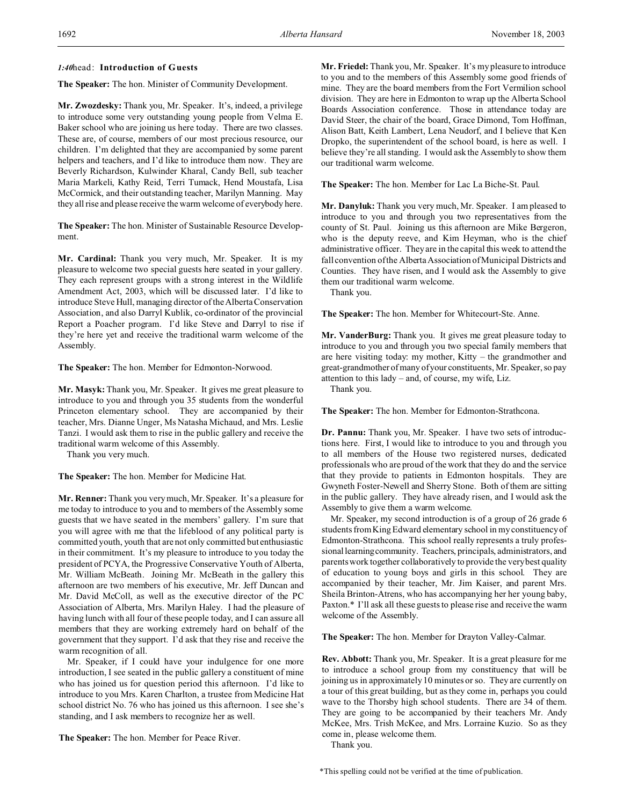### *1:40*head: **Introduction of Guests**

**The Speaker:** The hon. Minister of Community Development.

**Mr. Zwozdesky:** Thank you, Mr. Speaker. It's, indeed, a privilege to introduce some very outstanding young people from Velma E. Baker school who are joining us here today. There are two classes. These are, of course, members of our most precious resource, our children. I'm delighted that they are accompanied by some parent helpers and teachers, and I'd like to introduce them now. They are Beverly Richardson, Kulwinder Kharal, Candy Bell, sub teacher Maria Markeli, Kathy Reid, Terri Tumack, Hend Moustafa, Lisa McCormick, and their outstanding teacher, Marilyn Manning. May they all rise and please receive the warm welcome of everybody here.

**The Speaker:** The hon. Minister of Sustainable Resource Development.

**Mr. Cardinal:** Thank you very much, Mr. Speaker. It is my pleasure to welcome two special guests here seated in your gallery. They each represent groups with a strong interest in the Wildlife Amendment Act, 2003, which will be discussed later. I'd like to introduce Steve Hull, managing director of the Alberta Conservation Association, and also Darryl Kublik, co-ordinator of the provincial Report a Poacher program. I'd like Steve and Darryl to rise if they're here yet and receive the traditional warm welcome of the Assembly.

**The Speaker:** The hon. Member for Edmonton-Norwood.

**Mr. Masyk:** Thank you, Mr. Speaker. It gives me great pleasure to introduce to you and through you 35 students from the wonderful Princeton elementary school. They are accompanied by their teacher, Mrs. Dianne Unger, Ms Natasha Michaud, and Mrs. Leslie Tanzi. I would ask them to rise in the public gallery and receive the traditional warm welcome of this Assembly.

Thank you very much.

**The Speaker:** The hon. Member for Medicine Hat.

**Mr. Renner:** Thank you very much, Mr. Speaker. It's a pleasure for me today to introduce to you and to members of the Assembly some guests that we have seated in the members' gallery. I'm sure that you will agree with me that the lifeblood of any political party is committed youth, youth that are not only committed but enthusiastic in their commitment. It's my pleasure to introduce to you today the president of PCYA, the Progressive Conservative Youth of Alberta, Mr. William McBeath. Joining Mr. McBeath in the gallery this afternoon are two members of his executive, Mr. Jeff Duncan and Mr. David McColl, as well as the executive director of the PC Association of Alberta, Mrs. Marilyn Haley. I had the pleasure of having lunch with all four of these people today, and I can assure all members that they are working extremely hard on behalf of the government that they support. I'd ask that they rise and receive the warm recognition of all.

Mr. Speaker, if I could have your indulgence for one more introduction, I see seated in the public gallery a constituent of mine who has joined us for question period this afternoon. I'd like to introduce to you Mrs. Karen Charlton, a trustee from Medicine Hat school district No. 76 who has joined us this afternoon. I see she's standing, and I ask members to recognize her as well.

**The Speaker:** The hon. Member for Peace River.

**Mr. Friedel:** Thank you, Mr. Speaker. It's my pleasure to introduce to you and to the members of this Assembly some good friends of mine. They are the board members from the Fort Vermilion school division. They are here in Edmonton to wrap up the Alberta School Boards Association conference. Those in attendance today are David Steer, the chair of the board, Grace Dimond, Tom Hoffman, Alison Batt, Keith Lambert, Lena Neudorf, and I believe that Ken Dropko, the superintendent of the school board, is here as well. I believe they're all standing. I would ask the Assembly to show them our traditional warm welcome.

**The Speaker:** The hon. Member for Lac La Biche-St. Paul.

**Mr. Danyluk:** Thank you very much, Mr. Speaker. I am pleased to introduce to you and through you two representatives from the county of St. Paul. Joining us this afternoon are Mike Bergeron, who is the deputy reeve, and Kim Heyman, who is the chief administrative officer. They are in the capital this week to attend the fall convention of the Alberta Association of Municipal Districts and Counties. They have risen, and I would ask the Assembly to give them our traditional warm welcome.

Thank you.

**The Speaker:** The hon. Member for Whitecourt-Ste. Anne.

**Mr. VanderBurg:** Thank you. It gives me great pleasure today to introduce to you and through you two special family members that are here visiting today: my mother, Kitty – the grandmother and great-grandmother of many of your constituents, Mr. Speaker, so pay attention to this lady – and, of course, my wife, Liz.

Thank you.

**The Speaker:** The hon. Member for Edmonton-Strathcona.

**Dr. Pannu:** Thank you, Mr. Speaker. I have two sets of introductions here. First, I would like to introduce to you and through you to all members of the House two registered nurses, dedicated professionals who are proud of the work that they do and the service that they provide to patients in Edmonton hospitals. They are Gwyneth Foster-Newell and Sherry Stone. Both of them are sitting in the public gallery. They have already risen, and I would ask the Assembly to give them a warm welcome.

Mr. Speaker, my second introduction is of a group of 26 grade 6 students from King Edward elementary school in my constituency of Edmonton-Strathcona. This school really represents a truly professional learning community. Teachers, principals, administrators, and parents work together collaboratively to provide the very best quality of education to young boys and girls in this school. They are accompanied by their teacher, Mr. Jim Kaiser, and parent Mrs. Sheila Brinton-Atrens, who has accompanying her her young baby, Paxton.\* I'll ask all these guests to please rise and receive the warm welcome of the Assembly.

**The Speaker:** The hon. Member for Drayton Valley-Calmar.

**Rev. Abbott:** Thank you, Mr. Speaker. It is a great pleasure for me to introduce a school group from my constituency that will be joining us in approximately 10 minutes or so. They are currently on a tour of this great building, but as they come in, perhaps you could wave to the Thorsby high school students. There are 34 of them. They are going to be accompanied by their teachers Mr. Andy McKee, Mrs. Trish McKee, and Mrs. Lorraine Kuzio. So as they come in, please welcome them.

Thank you.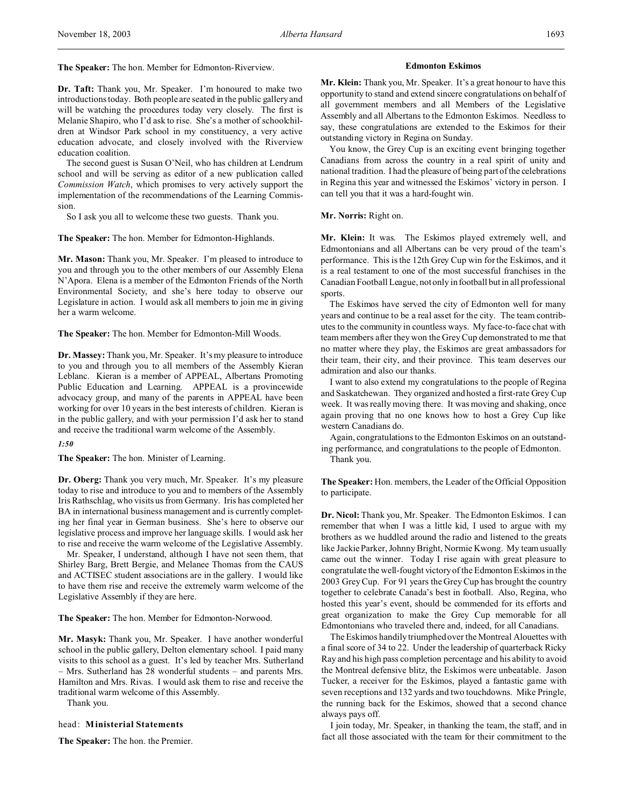**The Speaker:** The hon. Member for Edmonton-Riverview.

## **Dr. Taft:** Thank you, Mr. Speaker. I'm honoured to make two introductions today. Both people are seated in the public gallery and will be watching the procedures today very closely. The first is Melanie Shapiro, who I'd ask to rise. She's a mother of schoolchildren at Windsor Park school in my constituency, a very active education advocate, and closely involved with the Riverview education coalition.

The second guest is Susan O'Neil, who has children at Lendrum school and will be serving as editor of a new publication called *Commission Watch*, which promises to very actively support the implementation of the recommendations of the Learning Commission.

So I ask you all to welcome these two guests. Thank you.

**The Speaker:** The hon. Member for Edmonton-Highlands.

**Mr. Mason:** Thank you, Mr. Speaker. I'm pleased to introduce to you and through you to the other members of our Assembly Elena N'Apora. Elena is a member of the Edmonton Friends of the North Environmental Society, and she's here today to observe our Legislature in action. I would ask all members to join me in giving her a warm welcome.

**The Speaker:** The hon. Member for Edmonton-Mill Woods.

**Dr. Massey:** Thank you, Mr. Speaker. It's my pleasure to introduce to you and through you to all members of the Assembly Kieran Leblanc. Kieran is a member of APPEAL, Albertans Promoting Public Education and Learning. APPEAL is a provincewide advocacy group, and many of the parents in APPEAL have been working for over 10 years in the best interests of children. Kieran is in the public gallery, and with your permission I'd ask her to stand and receive the traditional warm welcome of the Assembly.

#### *1:50*

**The Speaker:** The hon. Minister of Learning.

**Dr. Oberg:** Thank you very much, Mr. Speaker. It's my pleasure today to rise and introduce to you and to members of the Assembly Iris Rathschlag, who visits us from Germany. Iris has completed her BA in international business management and is currently completing her final year in German business. She's here to observe our legislative process and improve her language skills. I would ask her to rise and receive the warm welcome of the Legislative Assembly.

Mr. Speaker, I understand, although I have not seen them, that Shirley Barg, Brett Bergie, and Melanee Thomas from the CAUS and ACTISEC student associations are in the gallery. I would like to have them rise and receive the extremely warm welcome of the Legislative Assembly if they are here.

#### **The Speaker:** The hon. Member for Edmonton-Norwood.

**Mr. Masyk:** Thank you, Mr. Speaker. I have another wonderful school in the public gallery, Delton elementary school. I paid many visits to this school as a guest. It's led by teacher Mrs. Sutherland – Mrs. Sutherland has 28 wonderful students – and parents Mrs. Hamilton and Mrs. Rivas. I would ask them to rise and receive the traditional warm welcome of this Assembly.

Thank you.

#### head: **Ministerial Statements**

**The Speaker:** The hon. the Premier.

#### **Edmonton Eskimos**

**Mr. Klein:** Thank you, Mr. Speaker. It's a great honour to have this opportunity to stand and extend sincere congratulations on behalf of all government members and all Members of the Legislative Assembly and all Albertans to the Edmonton Eskimos. Needless to say, these congratulations are extended to the Eskimos for their outstanding victory in Regina on Sunday.

You know, the Grey Cup is an exciting event bringing together Canadians from across the country in a real spirit of unity and national tradition. I had the pleasure of being part of the celebrations in Regina this year and witnessed the Eskimos' victory in person. I can tell you that it was a hard-fought win.

### **Mr. Norris:** Right on.

**Mr. Klein:** It was. The Eskimos played extremely well, and Edmontonians and all Albertans can be very proud of the team's performance. This is the 12th Grey Cup win for the Eskimos, and it is a real testament to one of the most successful franchises in the Canadian Football League, not only in football but in all professional sports.

The Eskimos have served the city of Edmonton well for many years and continue to be a real asset for the city. The team contributes to the community in countless ways. My face-to-face chat with team members after they won the Grey Cup demonstrated to me that no matter where they play, the Eskimos are great ambassadors for their team, their city, and their province. This team deserves our admiration and also our thanks.

I want to also extend my congratulations to the people of Regina and Saskatchewan. They organized and hosted a first-rate Grey Cup week. It was really moving there. It was moving and shaking, once again proving that no one knows how to host a Grey Cup like western Canadians do.

Again, congratulations to the Edmonton Eskimos on an outstanding performance, and congratulations to the people of Edmonton. Thank you.

**The Speaker:** Hon. members, the Leader of the Official Opposition to participate.

**Dr. Nicol:** Thank you, Mr. Speaker. The Edmonton Eskimos. I can remember that when I was a little kid, I used to argue with my brothers as we huddled around the radio and listened to the greats like Jackie Parker, Johnny Bright, Normie Kwong. My team usually came out the winner. Today I rise again with great pleasure to congratulate the well-fought victory of the Edmonton Eskimos in the 2003 Grey Cup. For 91 years the Grey Cup has brought the country together to celebrate Canada's best in football. Also, Regina, who hosted this year's event, should be commended for its efforts and great organization to make the Grey Cup memorable for all Edmontonians who traveled there and, indeed, for all Canadians.

The Eskimos handily triumphed over the Montreal Alouettes with a final score of 34 to 22. Under the leadership of quarterback Ricky Ray and his high pass completion percentage and his ability to avoid the Montreal defensive blitz, the Eskimos were unbeatable. Jason Tucker, a receiver for the Eskimos, played a fantastic game with seven receptions and 132 yards and two touchdowns. Mike Pringle, the running back for the Eskimos, showed that a second chance always pays off.

I join today, Mr. Speaker, in thanking the team, the staff, and in fact all those associated with the team for their commitment to the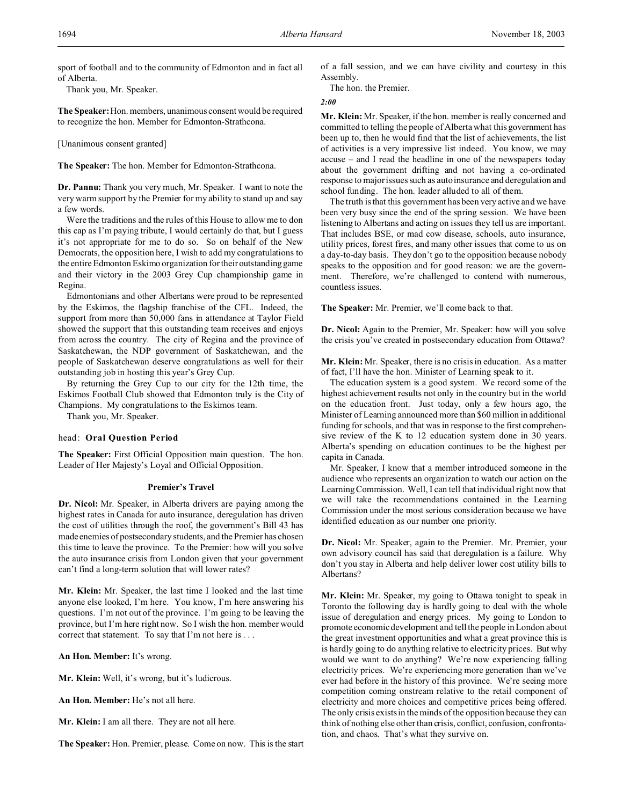sport of football and to the community of Edmonton and in fact all of Alberta.

Thank you, Mr. Speaker.

**The Speaker:**Hon. members, unanimous consent would be required to recognize the hon. Member for Edmonton-Strathcona.

[Unanimous consent granted]

**The Speaker:** The hon. Member for Edmonton-Strathcona.

**Dr. Pannu:** Thank you very much, Mr. Speaker. I want to note the very warm support by the Premier for my ability to stand up and say a few words.

Were the traditions and the rules of this House to allow me to don this cap as I'm paying tribute, I would certainly do that, but I guess it's not appropriate for me to do so. So on behalf of the New Democrats, the opposition here, I wish to add my congratulations to the entire Edmonton Eskimo organization for their outstanding game and their victory in the 2003 Grey Cup championship game in Regina.

Edmontonians and other Albertans were proud to be represented by the Eskimos, the flagship franchise of the CFL. Indeed, the support from more than 50,000 fans in attendance at Taylor Field showed the support that this outstanding team receives and enjoys from across the country. The city of Regina and the province of Saskatchewan, the NDP government of Saskatchewan, and the people of Saskatchewan deserve congratulations as well for their outstanding job in hosting this year's Grey Cup.

By returning the Grey Cup to our city for the 12th time, the Eskimos Football Club showed that Edmonton truly is the City of Champions. My congratulations to the Eskimos team.

Thank you, Mr. Speaker.

#### head: **Oral Question Period**

**The Speaker:** First Official Opposition main question. The hon. Leader of Her Majesty's Loyal and Official Opposition.

#### **Premier's Travel**

**Dr. Nicol:** Mr. Speaker, in Alberta drivers are paying among the highest rates in Canada for auto insurance, deregulation has driven the cost of utilities through the roof, the government's Bill 43 has made enemies of postsecondary students, and the Premier has chosen this time to leave the province. To the Premier: how will you solve the auto insurance crisis from London given that your government can't find a long-term solution that will lower rates?

**Mr. Klein:** Mr. Speaker, the last time I looked and the last time anyone else looked, I'm here. You know, I'm here answering his questions. I'm not out of the province. I'm going to be leaving the province, but I'm here right now. So I wish the hon. member would correct that statement. To say that I'm not here is . . .

**An Hon. Member:** It's wrong.

**Mr. Klein:** Well, it's wrong, but it's ludicrous.

**An Hon. Member:** He's not all here.

**Mr. Klein:** I am all there. They are not all here.

**The Speaker:** Hon. Premier, please. Come on now. This is the start

of a fall session, and we can have civility and courtesy in this Assembly.

The hon. the Premier.

### *2:00*

**Mr. Klein:** Mr. Speaker, if the hon. member is really concerned and committed to telling the people of Alberta what this government has been up to, then he would find that the list of achievements, the list of activities is a very impressive list indeed. You know, we may accuse – and I read the headline in one of the newspapers today about the government drifting and not having a co-ordinated response to major issues such as auto insurance and deregulation and school funding. The hon. leader alluded to all of them.

The truth is that this government has been very active and we have been very busy since the end of the spring session. We have been listening to Albertans and acting on issues they tell us are important. That includes BSE, or mad cow disease, schools, auto insurance, utility prices, forest fires, and many other issues that come to us on a day-to-day basis. They don't go to the opposition because nobody speaks to the opposition and for good reason: we are the government. Therefore, we're challenged to contend with numerous, countless issues.

**The Speaker:** Mr. Premier, we'll come back to that.

**Dr. Nicol:** Again to the Premier, Mr. Speaker: how will you solve the crisis you've created in postsecondary education from Ottawa?

**Mr. Klein:** Mr. Speaker, there is no crisis in education. As a matter of fact, I'll have the hon. Minister of Learning speak to it.

The education system is a good system. We record some of the highest achievement results not only in the country but in the world on the education front. Just today, only a few hours ago, the Minister of Learning announced more than \$60 million in additional funding for schools, and that was in response to the first comprehensive review of the K to 12 education system done in 30 years. Alberta's spending on education continues to be the highest per capita in Canada.

Mr. Speaker, I know that a member introduced someone in the audience who represents an organization to watch our action on the Learning Commission. Well, I can tell that individual right now that we will take the recommendations contained in the Learning Commission under the most serious consideration because we have identified education as our number one priority.

**Dr. Nicol:** Mr. Speaker, again to the Premier. Mr. Premier, your own advisory council has said that deregulation is a failure. Why don't you stay in Alberta and help deliver lower cost utility bills to Albertans?

**Mr. Klein:** Mr. Speaker, my going to Ottawa tonight to speak in Toronto the following day is hardly going to deal with the whole issue of deregulation and energy prices. My going to London to promote economic development and tell the people in London about the great investment opportunities and what a great province this is is hardly going to do anything relative to electricity prices. But why would we want to do anything? We're now experiencing falling electricity prices. We're experiencing more generation than we've ever had before in the history of this province. We're seeing more competition coming onstream relative to the retail component of electricity and more choices and competitive prices being offered. The only crisis exists in the minds of the opposition because they can think of nothing else other than crisis, conflict, confusion, confrontation, and chaos. That's what they survive on.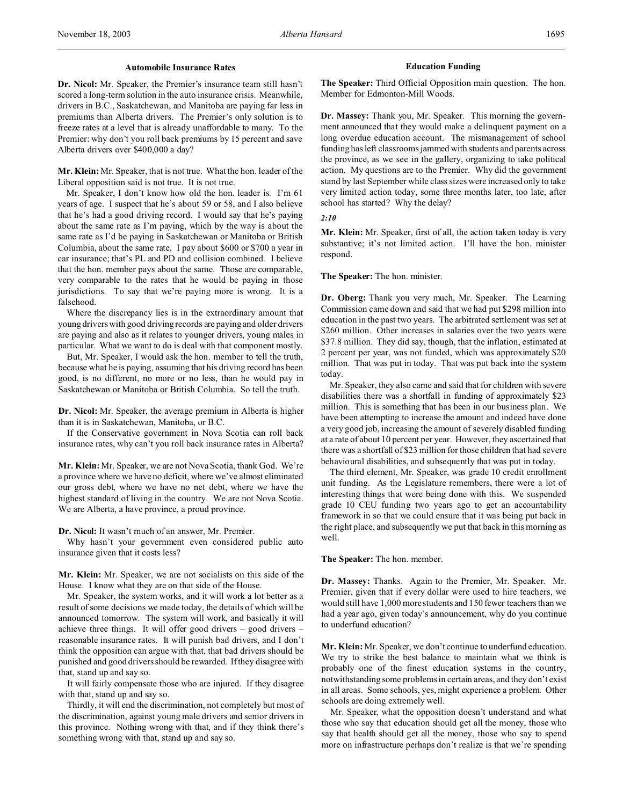#### **Automobile Insurance Rates**

**Dr. Nicol:** Mr. Speaker, the Premier's insurance team still hasn't scored a long-term solution in the auto insurance crisis. Meanwhile, drivers in B.C., Saskatchewan, and Manitoba are paying far less in premiums than Alberta drivers. The Premier's only solution is to freeze rates at a level that is already unaffordable to many. To the Premier: why don't you roll back premiums by 15 percent and save Alberta drivers over \$400,000 a day?

**Mr. Klein:** Mr. Speaker, that is not true. What the hon. leader of the Liberal opposition said is not true. It is not true.

Mr. Speaker, I don't know how old the hon. leader is. I'm 61 years of age. I suspect that he's about 59 or 58, and I also believe that he's had a good driving record. I would say that he's paying about the same rate as I'm paying, which by the way is about the same rate as I'd be paying in Saskatchewan or Manitoba or British Columbia, about the same rate. I pay about \$600 or \$700 a year in car insurance; that's PL and PD and collision combined. I believe that the hon. member pays about the same. Those are comparable, very comparable to the rates that he would be paying in those jurisdictions. To say that we're paying more is wrong. It is a falsehood.

Where the discrepancy lies is in the extraordinary amount that young drivers with good driving records are paying and older drivers are paying and also as it relates to younger drivers, young males in particular. What we want to do is deal with that component mostly.

But, Mr. Speaker, I would ask the hon. member to tell the truth, because what he is paying, assuming that his driving record has been good, is no different, no more or no less, than he would pay in Saskatchewan or Manitoba or British Columbia. So tell the truth.

**Dr. Nicol:** Mr. Speaker, the average premium in Alberta is higher than it is in Saskatchewan, Manitoba, or B.C.

If the Conservative government in Nova Scotia can roll back insurance rates, why can't you roll back insurance rates in Alberta?

**Mr. Klein:** Mr. Speaker, we are not Nova Scotia, thank God. We're a province where we have no deficit, where we've almost eliminated our gross debt, where we have no net debt, where we have the highest standard of living in the country. We are not Nova Scotia. We are Alberta, a have province, a proud province.

**Dr. Nicol:** It wasn't much of an answer, Mr. Premier.

Why hasn't your government even considered public auto insurance given that it costs less?

**Mr. Klein:** Mr. Speaker, we are not socialists on this side of the House. I know what they are on that side of the House.

Mr. Speaker, the system works, and it will work a lot better as a result of some decisions we made today, the details of which will be announced tomorrow. The system will work, and basically it will achieve three things. It will offer good drivers – good drivers – reasonable insurance rates. It will punish bad drivers, and I don't think the opposition can argue with that, that bad drivers should be punished and good drivers should be rewarded. If they disagree with that, stand up and say so.

It will fairly compensate those who are injured. If they disagree with that, stand up and say so.

Thirdly, it will end the discrimination, not completely but most of the discrimination, against young male drivers and senior drivers in this province. Nothing wrong with that, and if they think there's something wrong with that, stand up and say so.

#### **Education Funding**

**The Speaker:** Third Official Opposition main question. The hon. Member for Edmonton-Mill Woods.

**Dr. Massey:** Thank you, Mr. Speaker. This morning the government announced that they would make a delinquent payment on a long overdue education account. The mismanagement of school funding has left classrooms jammed with students and parents across the province, as we see in the gallery, organizing to take political action. My questions are to the Premier. Why did the government stand by last September while class sizes were increased only to take very limited action today, some three months later, too late, after school has started? Why the delay?

*2:10*

**Mr. Klein:** Mr. Speaker, first of all, the action taken today is very substantive; it's not limited action. I'll have the hon. minister respond.

**The Speaker:** The hon. minister.

**Dr. Oberg:** Thank you very much, Mr. Speaker. The Learning Commission came down and said that we had put \$298 million into education in the past two years. The arbitrated settlement was set at \$260 million. Other increases in salaries over the two years were \$37.8 million. They did say, though, that the inflation, estimated at 2 percent per year, was not funded, which was approximately \$20 million. That was put in today. That was put back into the system today.

Mr. Speaker, they also came and said that for children with severe disabilities there was a shortfall in funding of approximately \$23 million. This is something that has been in our business plan. We have been attempting to increase the amount and indeed have done a very good job, increasing the amount of severely disabled funding at a rate of about 10 percent per year. However, they ascertained that there was a shortfall of \$23 million for those children that had severe behavioural disabilities, and subsequently that was put in today.

The third element, Mr. Speaker, was grade 10 credit enrollment unit funding. As the Legislature remembers, there were a lot of interesting things that were being done with this. We suspended grade 10 CEU funding two years ago to get an accountability framework in so that we could ensure that it was being put back in the right place, and subsequently we put that back in this morning as well.

**The Speaker:** The hon. member.

**Dr. Massey:** Thanks. Again to the Premier, Mr. Speaker. Mr. Premier, given that if every dollar were used to hire teachers, we would still have 1,000 more students and 150 fewer teachers than we had a year ago, given today's announcement, why do you continue to underfund education?

**Mr. Klein:** Mr. Speaker, we don't continue to underfund education. We try to strike the best balance to maintain what we think is probably one of the finest education systems in the country, notwithstanding some problems in certain areas, and they don't exist in all areas. Some schools, yes, might experience a problem. Other schools are doing extremely well.

Mr. Speaker, what the opposition doesn't understand and what those who say that education should get all the money, those who say that health should get all the money, those who say to spend more on infrastructure perhaps don't realize is that we're spending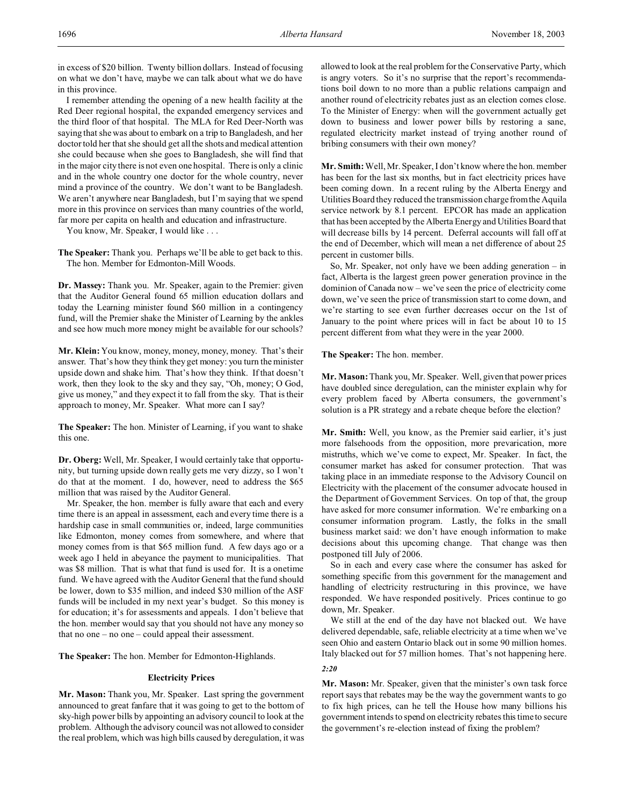in excess of \$20 billion. Twenty billion dollars. Instead of focusing on what we don't have, maybe we can talk about what we do have in this province.

I remember attending the opening of a new health facility at the Red Deer regional hospital, the expanded emergency services and the third floor of that hospital. The MLA for Red Deer-North was saying that she was about to embark on a trip to Bangladesh, and her doctor told her that she should get all the shots and medical attention she could because when she goes to Bangladesh, she will find that in the major city there is not even one hospital. There is only a clinic and in the whole country one doctor for the whole country, never mind a province of the country. We don't want to be Bangladesh. We aren't anywhere near Bangladesh, but I'm saying that we spend more in this province on services than many countries of the world, far more per capita on health and education and infrastructure.

You know, Mr. Speaker, I would like . . .

The Speaker: Thank you. Perhaps we'll be able to get back to this. The hon. Member for Edmonton-Mill Woods.

**Dr. Massey:** Thank you. Mr. Speaker, again to the Premier: given that the Auditor General found 65 million education dollars and today the Learning minister found \$60 million in a contingency fund, will the Premier shake the Minister of Learning by the ankles and see how much more money might be available for our schools?

**Mr. Klein:** You know, money, money, money, money. That's their answer. That's how they think they get money: you turn the minister upside down and shake him. That's how they think. If that doesn't work, then they look to the sky and they say, "Oh, money; O God, give us money," and they expect it to fall from the sky. That is their approach to money, Mr. Speaker. What more can I say?

**The Speaker:** The hon. Minister of Learning, if you want to shake this one.

**Dr. Oberg:** Well, Mr. Speaker, I would certainly take that opportunity, but turning upside down really gets me very dizzy, so I won't do that at the moment. I do, however, need to address the \$65 million that was raised by the Auditor General.

Mr. Speaker, the hon. member is fully aware that each and every time there is an appeal in assessment, each and every time there is a hardship case in small communities or, indeed, large communities like Edmonton, money comes from somewhere, and where that money comes from is that \$65 million fund. A few days ago or a week ago I held in abeyance the payment to municipalities. That was \$8 million. That is what that fund is used for. It is a onetime fund. We have agreed with the Auditor General that the fund should be lower, down to \$35 million, and indeed \$30 million of the ASF funds will be included in my next year's budget. So this money is for education; it's for assessments and appeals. I don't believe that the hon. member would say that you should not have any money so that no one – no one – could appeal their assessment.

**The Speaker:** The hon. Member for Edmonton-Highlands.

#### **Electricity Prices**

**Mr. Mason:** Thank you, Mr. Speaker. Last spring the government announced to great fanfare that it was going to get to the bottom of sky-high power bills by appointing an advisory council to look at the problem. Although the advisory council was not allowed to consider the real problem, which was high bills caused by deregulation, it was

allowed to look at the real problem for the Conservative Party, which is angry voters. So it's no surprise that the report's recommendations boil down to no more than a public relations campaign and another round of electricity rebates just as an election comes close. To the Minister of Energy: when will the government actually get down to business and lower power bills by restoring a sane, regulated electricity market instead of trying another round of bribing consumers with their own money?

**Mr. Smith:** Well, Mr. Speaker, I don't know where the hon. member has been for the last six months, but in fact electricity prices have been coming down. In a recent ruling by the Alberta Energy and Utilities Board they reduced the transmission charge from the Aquila service network by 8.1 percent. EPCOR has made an application that has been accepted by the Alberta Energy and Utilities Board that will decrease bills by 14 percent. Deferral accounts will fall off at the end of December, which will mean a net difference of about 25 percent in customer bills.

So, Mr. Speaker, not only have we been adding generation – in fact, Alberta is the largest green power generation province in the dominion of Canada now – we've seen the price of electricity come down, we've seen the price of transmission start to come down, and we're starting to see even further decreases occur on the 1st of January to the point where prices will in fact be about 10 to 15 percent different from what they were in the year 2000.

**The Speaker:** The hon. member.

**Mr. Mason:** Thank you, Mr. Speaker. Well, given that power prices have doubled since deregulation, can the minister explain why for every problem faced by Alberta consumers, the government's solution is a PR strategy and a rebate cheque before the election?

**Mr. Smith:** Well, you know, as the Premier said earlier, it's just more falsehoods from the opposition, more prevarication, more mistruths, which we've come to expect, Mr. Speaker. In fact, the consumer market has asked for consumer protection. That was taking place in an immediate response to the Advisory Council on Electricity with the placement of the consumer advocate housed in the Department of Government Services. On top of that, the group have asked for more consumer information. We're embarking on a consumer information program. Lastly, the folks in the small business market said: we don't have enough information to make decisions about this upcoming change. That change was then postponed till July of 2006.

So in each and every case where the consumer has asked for something specific from this government for the management and handling of electricity restructuring in this province, we have responded. We have responded positively. Prices continue to go down, Mr. Speaker.

We still at the end of the day have not blacked out. We have delivered dependable, safe, reliable electricity at a time when we've seen Ohio and eastern Ontario black out in some 90 million homes. Italy blacked out for 57 million homes. That's not happening here. *2:20*

**Mr. Mason:** Mr. Speaker, given that the minister's own task force report says that rebates may be the way the government wants to go to fix high prices, can he tell the House how many billions his government intends to spend on electricity rebates this time to secure the government's re-election instead of fixing the problem?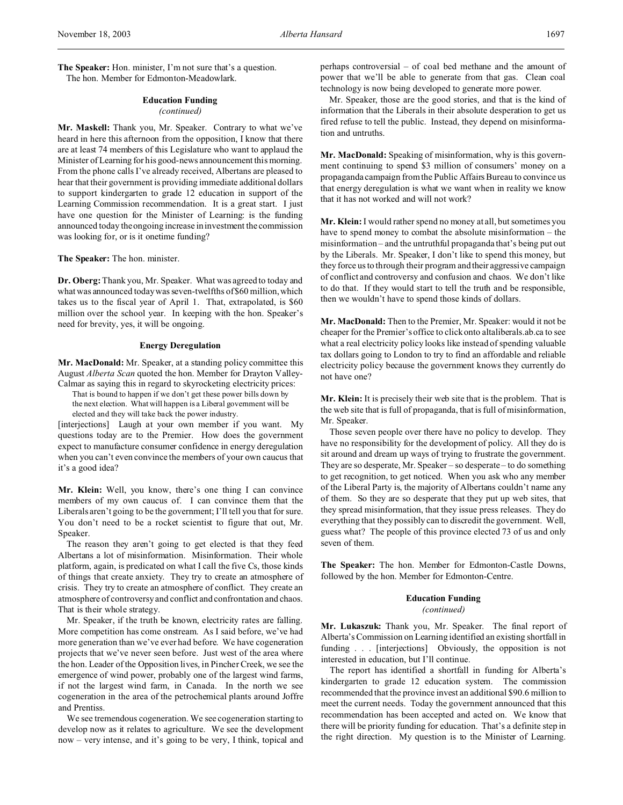**The Speaker:** Hon. minister, I'm not sure that's a question. The hon. Member for Edmonton-Meadowlark.

# **Education Funding**

#### *(continued)*

**Mr. Maskell:** Thank you, Mr. Speaker. Contrary to what we've heard in here this afternoon from the opposition, I know that there are at least 74 members of this Legislature who want to applaud the Minister of Learning for his good-news announcement this morning. From the phone calls I've already received, Albertans are pleased to hear that their government is providing immediate additional dollars to support kindergarten to grade 12 education in support of the Learning Commission recommendation. It is a great start. I just have one question for the Minister of Learning: is the funding announced today the ongoing increase in investment the commission was looking for, or is it onetime funding?

**The Speaker:** The hon. minister.

**Dr. Oberg:**Thank you, Mr. Speaker. What was agreed to today and what was announced today was seven-twelfths of \$60 million, which takes us to the fiscal year of April 1. That, extrapolated, is \$60 million over the school year. In keeping with the hon. Speaker's need for brevity, yes, it will be ongoing.

#### **Energy Deregulation**

**Mr. MacDonald:** Mr. Speaker, at a standing policy committee this August *Alberta Scan* quoted the hon. Member for Drayton Valley-Calmar as saying this in regard to skyrocketing electricity prices:

That is bound to happen if we don't get these power bills down by

the next election. What will happen is a Liberal government will be elected and they will take back the power industry.

[interjections] Laugh at your own member if you want. My questions today are to the Premier. How does the government expect to manufacture consumer confidence in energy deregulation when you can't even convince the members of your own caucus that it's a good idea?

**Mr. Klein:** Well, you know, there's one thing I can convince members of my own caucus of. I can convince them that the Liberals aren't going to be the government; I'll tell you that for sure. You don't need to be a rocket scientist to figure that out, Mr. Speaker.

The reason they aren't going to get elected is that they feed Albertans a lot of misinformation. Misinformation. Their whole platform, again, is predicated on what I call the five Cs, those kinds of things that create anxiety. They try to create an atmosphere of crisis. They try to create an atmosphere of conflict. They create an atmosphere of controversy and conflict and confrontation and chaos. That is their whole strategy.

Mr. Speaker, if the truth be known, electricity rates are falling. More competition has come onstream. As I said before, we've had more generation than we've ever had before. We have cogeneration projects that we've never seen before. Just west of the area where the hon. Leader of the Opposition lives, in Pincher Creek, we see the emergence of wind power, probably one of the largest wind farms, if not the largest wind farm, in Canada. In the north we see cogeneration in the area of the petrochemical plants around Joffre and Prentiss.

We see tremendous cogeneration. We see cogeneration starting to develop now as it relates to agriculture. We see the development now – very intense, and it's going to be very, I think, topical and perhaps controversial – of coal bed methane and the amount of power that we'll be able to generate from that gas. Clean coal technology is now being developed to generate more power.

Mr. Speaker, those are the good stories, and that is the kind of information that the Liberals in their absolute desperation to get us fired refuse to tell the public. Instead, they depend on misinformation and untruths.

**Mr. MacDonald:** Speaking of misinformation, why is this government continuing to spend \$3 million of consumers' money on a propaganda campaign from the Public Affairs Bureau to convince us that energy deregulation is what we want when in reality we know that it has not worked and will not work?

**Mr. Klein:** I would rather spend no money at all, but sometimes you have to spend money to combat the absolute misinformation – the misinformation – and the untruthful propaganda that's being put out by the Liberals. Mr. Speaker, I don't like to spend this money, but they force us to through their program and their aggressive campaign of conflict and controversy and confusion and chaos. We don't like to do that. If they would start to tell the truth and be responsible, then we wouldn't have to spend those kinds of dollars.

**Mr. MacDonald:** Then to the Premier, Mr. Speaker: would it not be cheaper for the Premier's office to click onto altaliberals.ab.ca to see what a real electricity policy looks like instead of spending valuable tax dollars going to London to try to find an affordable and reliable electricity policy because the government knows they currently do not have one?

**Mr. Klein:** It is precisely their web site that is the problem. That is the web site that is full of propaganda, that is full of misinformation, Mr. Speaker.

Those seven people over there have no policy to develop. They have no responsibility for the development of policy. All they do is sit around and dream up ways of trying to frustrate the government. They are so desperate, Mr. Speaker – so desperate – to do something to get recognition, to get noticed. When you ask who any member of the Liberal Party is, the majority of Albertans couldn't name any of them. So they are so desperate that they put up web sites, that they spread misinformation, that they issue press releases. They do everything that they possibly can to discredit the government. Well, guess what? The people of this province elected 73 of us and only seven of them.

**The Speaker:** The hon. Member for Edmonton-Castle Downs, followed by the hon. Member for Edmonton-Centre.

### **Education Funding**

*(continued)*

**Mr. Lukaszuk:** Thank you, Mr. Speaker. The final report of Alberta's Commission on Learning identified an existing shortfall in funding . . . [interjections] Obviously, the opposition is not interested in education, but I'll continue.

The report has identified a shortfall in funding for Alberta's kindergarten to grade 12 education system. The commission recommended that the province invest an additional \$90.6 million to meet the current needs. Today the government announced that this recommendation has been accepted and acted on. We know that there will be priority funding for education. That's a definite step in the right direction. My question is to the Minister of Learning.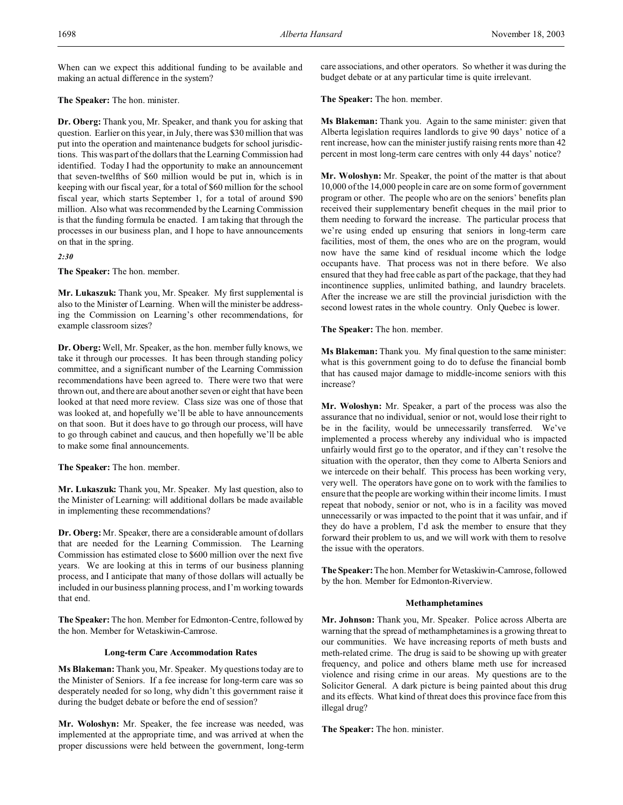When can we expect this additional funding to be available and making an actual difference in the system?

# **The Speaker:** The hon. minister.

**Dr. Oberg:** Thank you, Mr. Speaker, and thank you for asking that question. Earlier on this year, in July, there was \$30 million that was put into the operation and maintenance budgets for school jurisdictions. This was part of the dollars that the Learning Commission had identified. Today I had the opportunity to make an announcement that seven-twelfths of \$60 million would be put in, which is in keeping with our fiscal year, for a total of \$60 million for the school fiscal year, which starts September 1, for a total of around \$90 million. Also what was recommended by the Learning Commission is that the funding formula be enacted. I am taking that through the processes in our business plan, and I hope to have announcements on that in the spring.

*2:30*

**The Speaker:** The hon. member.

**Mr. Lukaszuk:** Thank you, Mr. Speaker. My first supplemental is also to the Minister of Learning. When will the minister be addressing the Commission on Learning's other recommendations, for example classroom sizes?

**Dr. Oberg:**Well, Mr. Speaker, as the hon. member fully knows, we take it through our processes. It has been through standing policy committee, and a significant number of the Learning Commission recommendations have been agreed to. There were two that were thrown out, and there are about another seven or eight that have been looked at that need more review. Class size was one of those that was looked at, and hopefully we'll be able to have announcements on that soon. But it does have to go through our process, will have to go through cabinet and caucus, and then hopefully we'll be able to make some final announcements.

**The Speaker:** The hon. member.

**Mr. Lukaszuk:** Thank you, Mr. Speaker. My last question, also to the Minister of Learning: will additional dollars be made available in implementing these recommendations?

**Dr. Oberg:** Mr. Speaker, there are a considerable amount of dollars that are needed for the Learning Commission. The Learning Commission has estimated close to \$600 million over the next five years. We are looking at this in terms of our business planning process, and I anticipate that many of those dollars will actually be included in our business planning process, and I'm working towards that end.

**The Speaker:** The hon. Member for Edmonton-Centre, followed by the hon. Member for Wetaskiwin-Camrose.

### **Long-term Care Accommodation Rates**

**Ms Blakeman:** Thank you, Mr. Speaker. My questions today are to the Minister of Seniors. If a fee increase for long-term care was so desperately needed for so long, why didn't this government raise it during the budget debate or before the end of session?

**Mr. Woloshyn:** Mr. Speaker, the fee increase was needed, was implemented at the appropriate time, and was arrived at when the proper discussions were held between the government, long-term care associations, and other operators. So whether it was during the budget debate or at any particular time is quite irrelevant.

**The Speaker:** The hon. member.

**Ms Blakeman:** Thank you. Again to the same minister: given that Alberta legislation requires landlords to give 90 days' notice of a rent increase, how can the minister justify raising rents more than 42 percent in most long-term care centres with only 44 days' notice?

**Mr. Woloshyn:** Mr. Speaker, the point of the matter is that about 10,000 of the 14,000 people in care are on some form of government program or other. The people who are on the seniors' benefits plan received their supplementary benefit cheques in the mail prior to them needing to forward the increase. The particular process that we're using ended up ensuring that seniors in long-term care facilities, most of them, the ones who are on the program, would now have the same kind of residual income which the lodge occupants have. That process was not in there before. We also ensured that they had free cable as part of the package, that they had incontinence supplies, unlimited bathing, and laundry bracelets. After the increase we are still the provincial jurisdiction with the second lowest rates in the whole country. Only Quebec is lower.

**The Speaker:** The hon. member.

**Ms Blakeman:** Thank you. My final question to the same minister: what is this government going to do to defuse the financial bomb that has caused major damage to middle-income seniors with this increase?

**Mr. Woloshyn:** Mr. Speaker, a part of the process was also the assurance that no individual, senior or not, would lose their right to be in the facility, would be unnecessarily transferred. We've implemented a process whereby any individual who is impacted unfairly would first go to the operator, and if they can't resolve the situation with the operator, then they come to Alberta Seniors and we intercede on their behalf. This process has been working very, very well. The operators have gone on to work with the families to ensure that the people are working within their income limits. I must repeat that nobody, senior or not, who is in a facility was moved unnecessarily or was impacted to the point that it was unfair, and if they do have a problem, I'd ask the member to ensure that they forward their problem to us, and we will work with them to resolve the issue with the operators.

**The Speaker:** The hon. Member for Wetaskiwin-Camrose, followed by the hon. Member for Edmonton-Riverview.

### **Methamphetamines**

**Mr. Johnson:** Thank you, Mr. Speaker. Police across Alberta are warning that the spread of methamphetamines is a growing threat to our communities. We have increasing reports of meth busts and meth-related crime. The drug is said to be showing up with greater frequency, and police and others blame meth use for increased violence and rising crime in our areas. My questions are to the Solicitor General. A dark picture is being painted about this drug and its effects. What kind of threat does this province face from this illegal drug?

**The Speaker:** The hon. minister.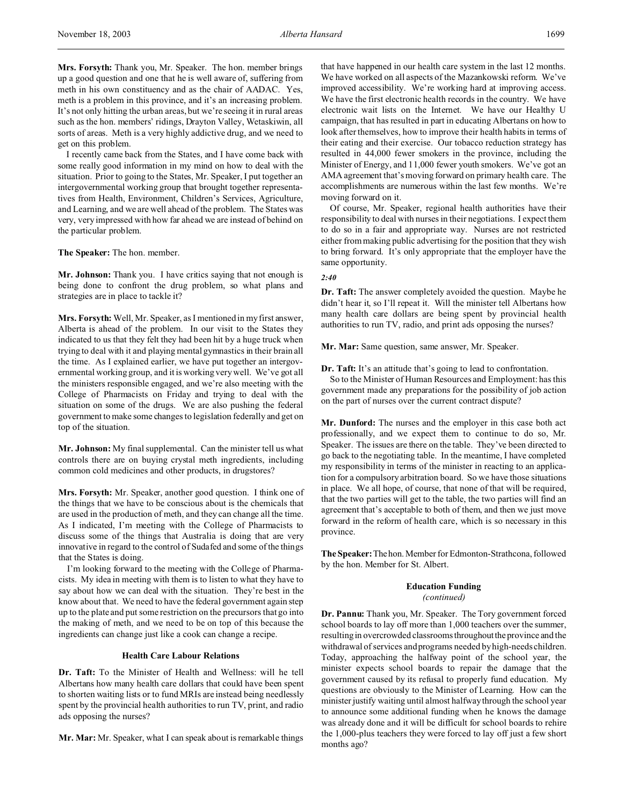**Mrs. Forsyth:** Thank you, Mr. Speaker. The hon. member brings up a good question and one that he is well aware of, suffering from meth in his own constituency and as the chair of AADAC. Yes, meth is a problem in this province, and it's an increasing problem. It's not only hitting the urban areas, but we're seeing it in rural areas such as the hon. members' ridings, Drayton Valley, Wetaskiwin, all sorts of areas. Meth is a very highly addictive drug, and we need to get on this problem.

I recently came back from the States, and I have come back with some really good information in my mind on how to deal with the situation. Prior to going to the States, Mr. Speaker, I put together an intergovernmental working group that brought together representatives from Health, Environment, Children's Services, Agriculture, and Learning, and we are well ahead of the problem. The States was very, very impressed with how far ahead we are instead of behind on the particular problem.

**The Speaker:** The hon. member.

**Mr. Johnson:** Thank you. I have critics saying that not enough is being done to confront the drug problem, so what plans and strategies are in place to tackle it?

**Mrs. Forsyth:** Well, Mr. Speaker, as I mentioned in my first answer, Alberta is ahead of the problem. In our visit to the States they indicated to us that they felt they had been hit by a huge truck when trying to deal with it and playing mental gymnastics in their brain all the time. As I explained earlier, we have put together an intergovernmental working group, and it is working very well. We've got all the ministers responsible engaged, and we're also meeting with the College of Pharmacists on Friday and trying to deal with the situation on some of the drugs. We are also pushing the federal government to make some changes to legislation federally and get on top of the situation.

**Mr. Johnson:** My final supplemental. Can the minister tell us what controls there are on buying crystal meth ingredients, including common cold medicines and other products, in drugstores?

**Mrs. Forsyth:** Mr. Speaker, another good question. I think one of the things that we have to be conscious about is the chemicals that are used in the production of meth, and they can change all the time. As I indicated, I'm meeting with the College of Pharmacists to discuss some of the things that Australia is doing that are very innovative in regard to the control of Sudafed and some of the things that the States is doing.

I'm looking forward to the meeting with the College of Pharmacists. My idea in meeting with them is to listen to what they have to say about how we can deal with the situation. They're best in the know about that. We need to have the federal government again step up to the plate and put some restriction on the precursors that go into the making of meth, and we need to be on top of this because the ingredients can change just like a cook can change a recipe.

### **Health Care Labour Relations**

**Dr. Taft:** To the Minister of Health and Wellness: will he tell Albertans how many health care dollars that could have been spent to shorten waiting lists or to fund MRIs are instead being needlessly spent by the provincial health authorities to run TV, print, and radio ads opposing the nurses?

**Mr. Mar:** Mr. Speaker, what I can speak about is remarkable things

that have happened in our health care system in the last 12 months. We have worked on all aspects of the Mazankowski reform. We've improved accessibility. We're working hard at improving access. We have the first electronic health records in the country. We have electronic wait lists on the Internet. We have our Healthy U campaign, that has resulted in part in educating Albertans on how to look after themselves, how to improve their health habits in terms of their eating and their exercise. Our tobacco reduction strategy has resulted in 44,000 fewer smokers in the province, including the Minister of Energy, and 11,000 fewer youth smokers. We've got an AMA agreement that's moving forward on primary health care. The accomplishments are numerous within the last few months. We're moving forward on it.

Of course, Mr. Speaker, regional health authorities have their responsibility to deal with nurses in their negotiations. I expect them to do so in a fair and appropriate way. Nurses are not restricted either from making public advertising for the position that they wish to bring forward. It's only appropriate that the employer have the same opportunity.

#### *2:40*

**Dr. Taft:** The answer completely avoided the question. Maybe he didn't hear it, so I'll repeat it. Will the minister tell Albertans how many health care dollars are being spent by provincial health authorities to run TV, radio, and print ads opposing the nurses?

**Mr. Mar:** Same question, same answer, Mr. Speaker.

**Dr. Taft:** It's an attitude that's going to lead to confrontation.

So to the Minister of Human Resources and Employment: has this government made any preparations for the possibility of job action on the part of nurses over the current contract dispute?

**Mr. Dunford:** The nurses and the employer in this case both act professionally, and we expect them to continue to do so, Mr. Speaker. The issues are there on the table. They've been directed to go back to the negotiating table. In the meantime, I have completed my responsibility in terms of the minister in reacting to an application for a compulsory arbitration board. So we have those situations in place. We all hope, of course, that none of that will be required, that the two parties will get to the table, the two parties will find an agreement that's acceptable to both of them, and then we just move forward in the reform of health care, which is so necessary in this province.

**The Speaker:**Thehon.Member for Edmonton-Strathcona, followed by the hon. Member for St. Albert.

# **Education Funding**

*(continued)*

**Dr. Pannu:** Thank you, Mr. Speaker. The Tory government forced school boards to lay off more than 1,000 teachers over the summer, resulting in overcrowded classrooms throughout the province and the withdrawal of services and programs needed by high-needs children. Today, approaching the halfway point of the school year, the minister expects school boards to repair the damage that the government caused by its refusal to properly fund education. My questions are obviously to the Minister of Learning. How can the minister justify waiting until almost halfway through the school year to announce some additional funding when he knows the damage was already done and it will be difficult for school boards to rehire the 1,000-plus teachers they were forced to lay off just a few short months ago?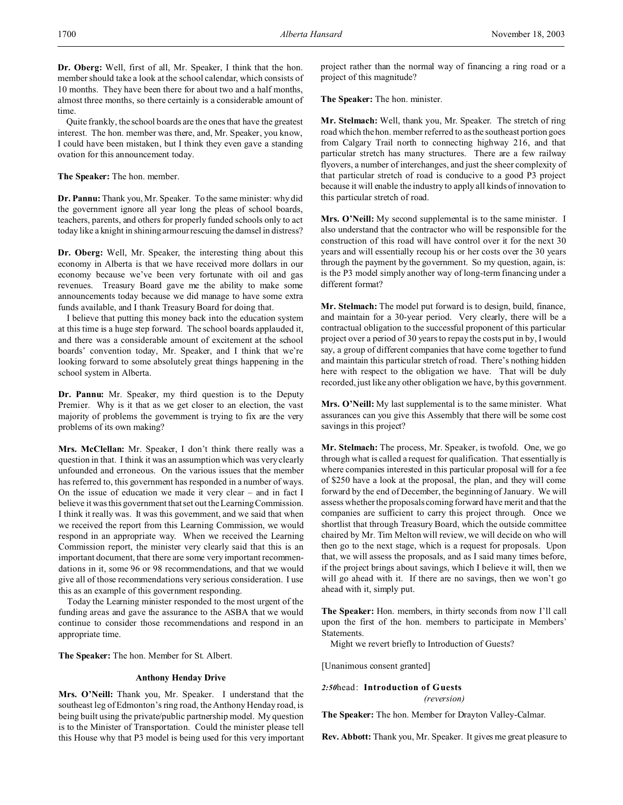**Dr. Oberg:** Well, first of all, Mr. Speaker, I think that the hon. member should take a look at the school calendar, which consists of 10 months. They have been there for about two and a half months, almost three months, so there certainly is a considerable amount of time.

Quite frankly, the school boards are the ones that have the greatest interest. The hon. member was there, and, Mr. Speaker, you know, I could have been mistaken, but I think they even gave a standing ovation for this announcement today.

**The Speaker:** The hon. member.

**Dr. Pannu:** Thank you, Mr. Speaker. To the same minister: why did the government ignore all year long the pleas of school boards, teachers, parents, and others for properly funded schools only to act today like a knight in shining armour rescuing the damsel in distress?

**Dr. Oberg:** Well, Mr. Speaker, the interesting thing about this economy in Alberta is that we have received more dollars in our economy because we've been very fortunate with oil and gas revenues. Treasury Board gave me the ability to make some announcements today because we did manage to have some extra funds available, and I thank Treasury Board for doing that.

I believe that putting this money back into the education system at this time is a huge step forward. The school boards applauded it, and there was a considerable amount of excitement at the school boards' convention today, Mr. Speaker, and I think that we're looking forward to some absolutely great things happening in the school system in Alberta.

**Dr. Pannu:** Mr. Speaker, my third question is to the Deputy Premier. Why is it that as we get closer to an election, the vast majority of problems the government is trying to fix are the very problems of its own making?

**Mrs. McClellan:** Mr. Speaker, I don't think there really was a question in that. I think it was an assumption which was very clearly unfounded and erroneous. On the various issues that the member has referred to, this government has responded in a number of ways. On the issue of education we made it very clear – and in fact I believe it was this government that set out the Learning Commission. I think it really was. It was this government, and we said that when we received the report from this Learning Commission, we would respond in an appropriate way. When we received the Learning Commission report, the minister very clearly said that this is an important document, that there are some very important recommendations in it, some 96 or 98 recommendations, and that we would give all of those recommendations very serious consideration. I use this as an example of this government responding.

Today the Learning minister responded to the most urgent of the funding areas and gave the assurance to the ASBA that we would continue to consider those recommendations and respond in an appropriate time.

**The Speaker:** The hon. Member for St. Albert.

### **Anthony Henday Drive**

**Mrs. O'Neill:** Thank you, Mr. Speaker. I understand that the southeast leg of Edmonton's ring road, the Anthony Henday road, is being built using the private/public partnership model. My question is to the Minister of Transportation. Could the minister please tell this House why that P3 model is being used for this very important project rather than the normal way of financing a ring road or a project of this magnitude?

**The Speaker:** The hon. minister.

**Mr. Stelmach:** Well, thank you, Mr. Speaker. The stretch of ring road which the hon. member referred to as the southeast portion goes from Calgary Trail north to connecting highway 216, and that particular stretch has many structures. There are a few railway flyovers, a number of interchanges, and just the sheer complexity of that particular stretch of road is conducive to a good P3 project because it will enable the industry to apply all kinds of innovation to this particular stretch of road.

**Mrs. O'Neill:** My second supplemental is to the same minister. I also understand that the contractor who will be responsible for the construction of this road will have control over it for the next 30 years and will essentially recoup his or her costs over the 30 years through the payment by the government. So my question, again, is: is the P3 model simply another way of long-term financing under a different format?

**Mr. Stelmach:** The model put forward is to design, build, finance, and maintain for a 30-year period. Very clearly, there will be a contractual obligation to the successful proponent of this particular project over a period of 30 years to repay the costs put in by, I would say, a group of different companies that have come together to fund and maintain this particular stretch of road. There's nothing hidden here with respect to the obligation we have. That will be duly recorded, just like any other obligation we have, by this government.

**Mrs. O'Neill:** My last supplemental is to the same minister. What assurances can you give this Assembly that there will be some cost savings in this project?

**Mr. Stelmach:** The process, Mr. Speaker, is twofold. One, we go through what is called a request for qualification. That essentially is where companies interested in this particular proposal will for a fee of \$250 have a look at the proposal, the plan, and they will come forward by the end of December, the beginning of January. We will assess whether the proposals coming forward have merit and that the companies are sufficient to carry this project through. Once we shortlist that through Treasury Board, which the outside committee chaired by Mr. Tim Melton will review, we will decide on who will then go to the next stage, which is a request for proposals. Upon that, we will assess the proposals, and as I said many times before, if the project brings about savings, which I believe it will, then we will go ahead with it. If there are no savings, then we won't go ahead with it, simply put.

**The Speaker:** Hon. members, in thirty seconds from now I'll call upon the first of the hon. members to participate in Members' Statements.

Might we revert briefly to Introduction of Guests?

[Unanimous consent granted]

*2:50*head: **Introduction of Guests** *(reversion)*

**The Speaker:** The hon. Member for Drayton Valley-Calmar.

**Rev. Abbott:** Thank you, Mr. Speaker. It gives me great pleasure to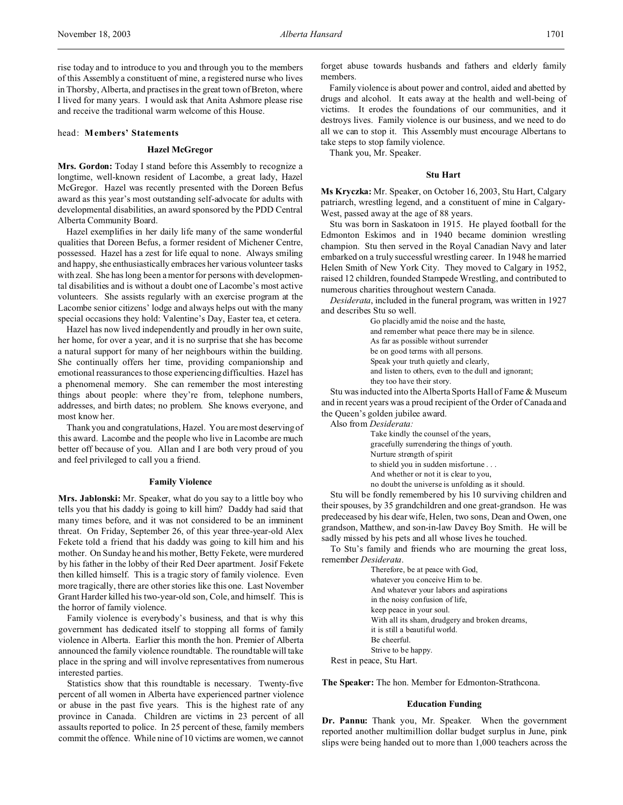rise today and to introduce to you and through you to the members of this Assembly a constituent of mine, a registered nurse who lives in Thorsby, Alberta, and practises in the great town of Breton, where I lived for many years. I would ask that Anita Ashmore please rise and receive the traditional warm welcome of this House.

# head: **Members' Statements**

#### **Hazel McGregor**

**Mrs. Gordon:** Today I stand before this Assembly to recognize a longtime, well-known resident of Lacombe, a great lady, Hazel McGregor. Hazel was recently presented with the Doreen Befus award as this year's most outstanding self-advocate for adults with developmental disabilities, an award sponsored by the PDD Central Alberta Community Board.

Hazel exemplifies in her daily life many of the same wonderful qualities that Doreen Befus, a former resident of Michener Centre, possessed. Hazel has a zest for life equal to none. Always smiling and happy, she enthusiastically embraces her various volunteer tasks with zeal. She has long been a mentor for persons with developmental disabilities and is without a doubt one of Lacombe's most active volunteers. She assists regularly with an exercise program at the Lacombe senior citizens' lodge and always helps out with the many special occasions they hold: Valentine's Day, Easter tea, et cetera.

Hazel has now lived independently and proudly in her own suite, her home, for over a year, and it is no surprise that she has become a natural support for many of her neighbours within the building. She continually offers her time, providing companionship and emotional reassurances to those experiencing difficulties. Hazel has a phenomenal memory. She can remember the most interesting things about people: where they're from, telephone numbers, addresses, and birth dates; no problem. She knows everyone, and most know her.

Thank you and congratulations, Hazel. You are most deserving of this award. Lacombe and the people who live in Lacombe are much better off because of you. Allan and I are both very proud of you and feel privileged to call you a friend.

#### **Family Violence**

**Mrs. Jablonski:** Mr. Speaker, what do you say to a little boy who tells you that his daddy is going to kill him? Daddy had said that many times before, and it was not considered to be an imminent threat. On Friday, September 26, of this year three-year-old Alex Fekete told a friend that his daddy was going to kill him and his mother. On Sunday he and his mother, Betty Fekete, were murdered by his father in the lobby of their Red Deer apartment. Josif Fekete then killed himself. This is a tragic story of family violence. Even more tragically, there are other stories like this one. Last November Grant Harder killed his two-year-old son, Cole, and himself. This is the horror of family violence.

Family violence is everybody's business, and that is why this government has dedicated itself to stopping all forms of family violence in Alberta. Earlier this month the hon. Premier of Alberta announced the family violence roundtable. The roundtable will take place in the spring and will involve representatives from numerous interested parties.

Statistics show that this roundtable is necessary. Twenty-five percent of all women in Alberta have experienced partner violence or abuse in the past five years. This is the highest rate of any province in Canada. Children are victims in 23 percent of all assaults reported to police. In 25 percent of these, family members commit the offence. While nine of 10 victims are women, we cannot

forget abuse towards husbands and fathers and elderly family members.

Family violence is about power and control, aided and abetted by drugs and alcohol. It eats away at the health and well-being of victims. It erodes the foundations of our communities, and it destroys lives. Family violence is our business, and we need to do all we can to stop it. This Assembly must encourage Albertans to take steps to stop family violence.

Thank you, Mr. Speaker.

#### **Stu Hart**

**Ms Kryczka:** Mr. Speaker, on October 16, 2003, Stu Hart, Calgary patriarch, wrestling legend, and a constituent of mine in Calgary-West, passed away at the age of 88 years.

Stu was born in Saskatoon in 1915. He played football for the Edmonton Eskimos and in 1940 became dominion wrestling champion. Stu then served in the Royal Canadian Navy and later embarked on a truly successful wrestling career. In 1948 he married Helen Smith of New York City. They moved to Calgary in 1952, raised 12 children, founded Stampede Wrestling, and contributed to numerous charities throughout western Canada.

*Desiderata*, included in the funeral program, was written in 1927 and describes Stu so well.

> Go placidly amid the noise and the haste, and remember what peace there may be in silence. As far as possible without surrender be on good terms with all persons. Speak your truth quietly and clearly, and listen to others, even to the dull and ignorant; they too have their story.

Stu was inducted into the Alberta Sports Hall of Fame & Museum and in recent years was a proud recipient of the Order of Canada and the Queen's golden jubilee award.

Also from *Desiderata:*

Take kindly the counsel of the years, gracefully surrendering the things of youth. Nurture strength of spirit to shield you in sudden misfortune . . . And whether or not it is clear to you, no doubt the universe is unfolding as it should.

Stu will be fondly remembered by his 10 surviving children and their spouses, by 35 grandchildren and one great-grandson. He was predeceased by his dear wife, Helen, two sons, Dean and Owen, one grandson, Matthew, and son-in-law Davey Boy Smith. He will be sadly missed by his pets and all whose lives he touched.

To Stu's family and friends who are mourning the great loss, remember *Desiderata*.

> Therefore, be at peace with God, whatever you conceive Him to be. And whatever your labors and aspirations in the noisy confusion of life, keep peace in your soul. With all its sham, drudgery and broken dreams, it is still a beautiful world. Be cheerful. Strive to be happy.

Rest in peace, Stu Hart.

**The Speaker:** The hon. Member for Edmonton-Strathcona.

#### **Education Funding**

**Dr. Pannu:** Thank you, Mr. Speaker. When the government reported another multimillion dollar budget surplus in June, pink slips were being handed out to more than 1,000 teachers across the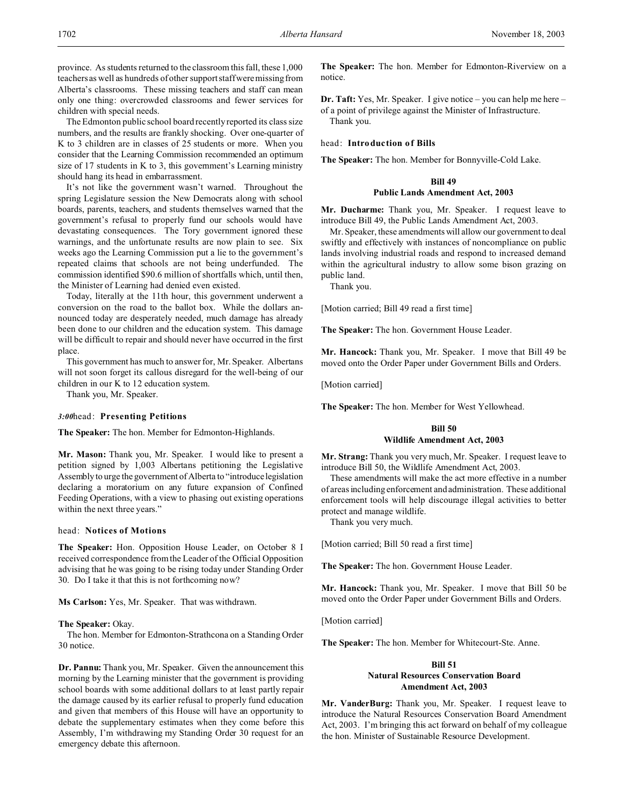province. As students returned to the classroom this fall, these 1,000 teachers as well as hundreds of other support staff were missing from Alberta's classrooms. These missing teachers and staff can mean only one thing: overcrowded classrooms and fewer services for children with special needs.

The Edmonton public school board recently reported its class size numbers, and the results are frankly shocking. Over one-quarter of K to 3 children are in classes of 25 students or more. When you consider that the Learning Commission recommended an optimum size of 17 students in K to 3, this government's Learning ministry should hang its head in embarrassment.

It's not like the government wasn't warned. Throughout the spring Legislature session the New Democrats along with school boards, parents, teachers, and students themselves warned that the government's refusal to properly fund our schools would have devastating consequences. The Tory government ignored these warnings, and the unfortunate results are now plain to see. Six weeks ago the Learning Commission put a lie to the government's repeated claims that schools are not being underfunded. The commission identified \$90.6 million of shortfalls which, until then, the Minister of Learning had denied even existed.

Today, literally at the 11th hour, this government underwent a conversion on the road to the ballot box. While the dollars announced today are desperately needed, much damage has already been done to our children and the education system. This damage will be difficult to repair and should never have occurred in the first place.

This government has much to answer for, Mr. Speaker. Albertans will not soon forget its callous disregard for the well-being of our children in our K to 12 education system.

Thank you, Mr. Speaker.

#### *3:00*head: **Presenting Petitions**

**The Speaker:** The hon. Member for Edmonton-Highlands.

**Mr. Mason:** Thank you, Mr. Speaker. I would like to present a petition signed by 1,003 Albertans petitioning the Legislative Assembly to urge the government of Alberta to "introduce legislation declaring a moratorium on any future expansion of Confined Feeding Operations, with a view to phasing out existing operations within the next three years."

#### head: **Notices of Motions**

**The Speaker:** Hon. Opposition House Leader, on October 8 I received correspondence from the Leader of the Official Opposition advising that he was going to be rising today under Standing Order 30. Do I take it that this is not forthcoming now?

**Ms Carlson:** Yes, Mr. Speaker. That was withdrawn.

#### **The Speaker:** Okay.

The hon. Member for Edmonton-Strathcona on a Standing Order 30 notice.

**Dr. Pannu:** Thank you, Mr. Speaker. Given the announcement this morning by the Learning minister that the government is providing school boards with some additional dollars to at least partly repair the damage caused by its earlier refusal to properly fund education and given that members of this House will have an opportunity to debate the supplementary estimates when they come before this Assembly, I'm withdrawing my Standing Order 30 request for an emergency debate this afternoon.

**The Speaker:** The hon. Member for Edmonton-Riverview on a notice.

**Dr. Taft:** Yes, Mr. Speaker. I give notice – you can help me here – of a point of privilege against the Minister of Infrastructure. Thank you.

head: **Introduction of Bills**

**The Speaker:** The hon. Member for Bonnyville-Cold Lake.

### **Bill 49 Public Lands Amendment Act, 2003**

**Mr. Ducharme:** Thank you, Mr. Speaker. I request leave to introduce Bill 49, the Public Lands Amendment Act, 2003.

Mr. Speaker, these amendments will allow our government to deal swiftly and effectively with instances of noncompliance on public lands involving industrial roads and respond to increased demand within the agricultural industry to allow some bison grazing on public land.

Thank you.

[Motion carried; Bill 49 read a first time]

**The Speaker:** The hon. Government House Leader.

**Mr. Hancock:** Thank you, Mr. Speaker. I move that Bill 49 be moved onto the Order Paper under Government Bills and Orders.

[Motion carried]

**The Speaker:** The hon. Member for West Yellowhead.

#### **Bill 50**

#### **Wildlife Amendment Act, 2003**

**Mr. Strang:** Thank you very much, Mr. Speaker. I request leave to introduce Bill 50, the Wildlife Amendment Act, 2003.

These amendments will make the act more effective in a number of areas including enforcement and administration. These additional enforcement tools will help discourage illegal activities to better protect and manage wildlife.

Thank you very much.

[Motion carried; Bill 50 read a first time]

**The Speaker:** The hon. Government House Leader.

**Mr. Hancock:** Thank you, Mr. Speaker. I move that Bill 50 be moved onto the Order Paper under Government Bills and Orders.

[Motion carried]

**The Speaker:** The hon. Member for Whitecourt-Ste. Anne.

## **Bill 51 Natural Resources Conservation Board Amendment Act, 2003**

**Mr. VanderBurg:** Thank you, Mr. Speaker. I request leave to introduce the Natural Resources Conservation Board Amendment Act, 2003. I'm bringing this act forward on behalf of my colleague the hon. Minister of Sustainable Resource Development.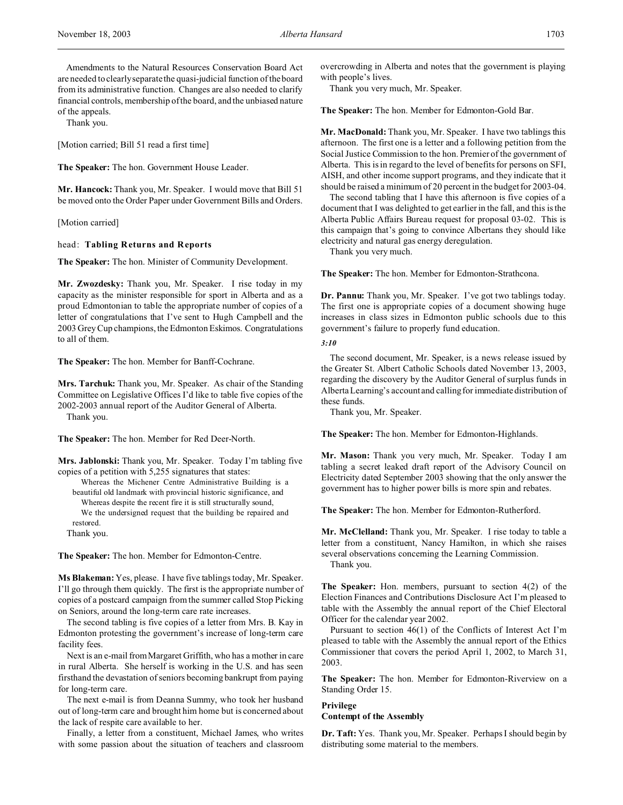Amendments to the Natural Resources Conservation Board Act are needed to clearly separate the quasi-judicial function of the board from its administrative function. Changes are also needed to clarify financial controls, membership of the board, and the unbiased nature of the appeals.

Thank you.

[Motion carried; Bill 51 read a first time]

**The Speaker:** The hon. Government House Leader.

**Mr. Hancock:** Thank you, Mr. Speaker. I would move that Bill 51 be moved onto the Order Paper under Government Bills and Orders.

[Motion carried]

#### head: **Tabling Returns and Reports**

**The Speaker:** The hon. Minister of Community Development.

**Mr. Zwozdesky:** Thank you, Mr. Speaker. I rise today in my capacity as the minister responsible for sport in Alberta and as a proud Edmontonian to table the appropriate number of copies of a letter of congratulations that I've sent to Hugh Campbell and the 2003 Grey Cup champions, the Edmonton Eskimos. Congratulations to all of them.

**The Speaker:** The hon. Member for Banff-Cochrane.

**Mrs. Tarchuk:** Thank you, Mr. Speaker. As chair of the Standing Committee on Legislative Offices I'd like to table five copies of the 2002-2003 annual report of the Auditor General of Alberta. Thank you.

**The Speaker:** The hon. Member for Red Deer-North.

**Mrs. Jablonski:** Thank you, Mr. Speaker. Today I'm tabling five copies of a petition with 5,255 signatures that states:

Whereas the Michener Centre Administrative Building is a beautiful old landmark with provincial historic significance, and Whereas despite the recent fire it is still structurally sound, We the undersigned request that the building be repaired and restored.

Thank you.

**The Speaker:** The hon. Member for Edmonton-Centre.

**Ms Blakeman:** Yes, please. I have five tablings today, Mr. Speaker. I'll go through them quickly. The first is the appropriate number of copies of a postcard campaign from the summer called Stop Picking on Seniors, around the long-term care rate increases.

The second tabling is five copies of a letter from Mrs. B. Kay in Edmonton protesting the government's increase of long-term care facility fees.

Next is an e-mail from Margaret Griffith, who has a mother in care in rural Alberta. She herself is working in the U.S. and has seen firsthand the devastation of seniors becoming bankrupt from paying for long-term care.

The next e-mail is from Deanna Summy, who took her husband out of long-term care and brought him home but is concerned about the lack of respite care available to her.

Finally, a letter from a constituent, Michael James, who writes with some passion about the situation of teachers and classroom overcrowding in Alberta and notes that the government is playing with people's lives.

Thank you very much, Mr. Speaker.

**The Speaker:** The hon. Member for Edmonton-Gold Bar.

**Mr. MacDonald:** Thank you, Mr. Speaker. I have two tablings this afternoon. The first one is a letter and a following petition from the Social Justice Commission to the hon. Premier of the government of Alberta. This is in regard to the level of benefits for persons on SFI, AISH, and other income support programs, and they indicate that it should be raised a minimum of 20 percent in the budget for 2003-04.

The second tabling that I have this afternoon is five copies of a document that I was delighted to get earlier in the fall, and this is the Alberta Public Affairs Bureau request for proposal 03-02. This is this campaign that's going to convince Albertans they should like electricity and natural gas energy deregulation.

Thank you very much.

**The Speaker:** The hon. Member for Edmonton-Strathcona.

**Dr. Pannu:** Thank you, Mr. Speaker. I've got two tablings today. The first one is appropriate copies of a document showing huge increases in class sizes in Edmonton public schools due to this government's failure to properly fund education.

#### *3:10*

The second document, Mr. Speaker, is a news release issued by the Greater St. Albert Catholic Schools dated November 13, 2003, regarding the discovery by the Auditor General of surplus funds in Alberta Learning's account and calling for immediate distribution of these funds.

Thank you, Mr. Speaker.

**The Speaker:** The hon. Member for Edmonton-Highlands.

**Mr. Mason:** Thank you very much, Mr. Speaker. Today I am tabling a secret leaked draft report of the Advisory Council on Electricity dated September 2003 showing that the only answer the government has to higher power bills is more spin and rebates.

**The Speaker:** The hon. Member for Edmonton-Rutherford.

**Mr. McClelland:** Thank you, Mr. Speaker. I rise today to table a letter from a constituent, Nancy Hamilton, in which she raises several observations concerning the Learning Commission. Thank you.

**The Speaker:** Hon. members, pursuant to section 4(2) of the Election Finances and Contributions Disclosure Act I'm pleased to table with the Assembly the annual report of the Chief Electoral Officer for the calendar year 2002.

Pursuant to section 46(1) of the Conflicts of Interest Act I'm pleased to table with the Assembly the annual report of the Ethics Commissioner that covers the period April 1, 2002, to March 31, 2003.

**The Speaker:** The hon. Member for Edmonton-Riverview on a Standing Order 15.

### **Privilege**

# **Contempt of the Assembly**

**Dr. Taft:** Yes. Thank you, Mr. Speaker. Perhaps I should begin by distributing some material to the members.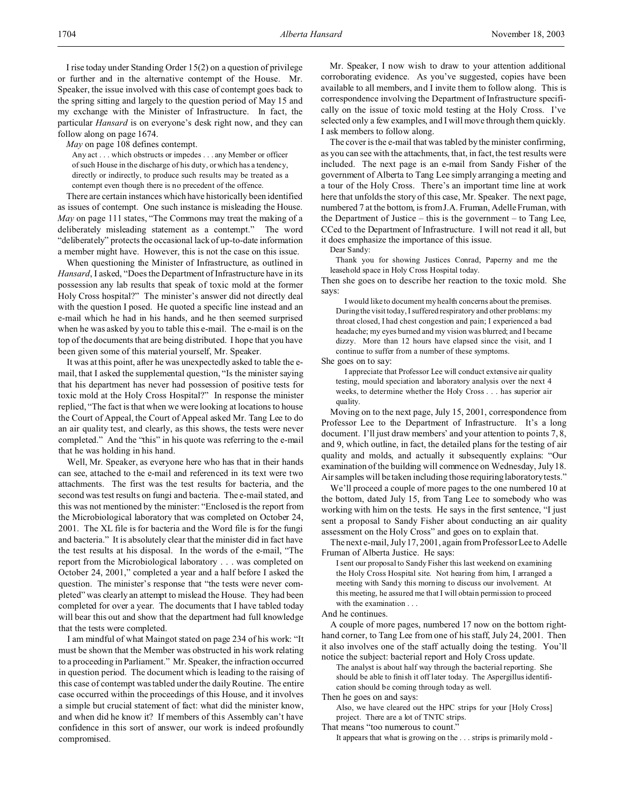I rise today under Standing Order 15(2) on a question of privilege or further and in the alternative contempt of the House. Mr. Speaker, the issue involved with this case of contempt goes back to the spring sitting and largely to the question period of May 15 and my exchange with the Minister of Infrastructure. In fact, the particular *Hansard* is on everyone's desk right now, and they can follow along on page 1674.

*May* on page 108 defines contempt.

Any act . . . which obstructs or impedes . . . any Member or officer of such House in the discharge of his duty, or which has a tendency, directly or indirectly, to produce such results may be treated as a contempt even though there is no precedent of the offence.

There are certain instances which have historically been identified as issues of contempt. One such instance is misleading the House. *May* on page 111 states, "The Commons may treat the making of a deliberately misleading statement as a contempt." The word "deliberately" protects the occasional lack of up-to-date information a member might have. However, this is not the case on this issue.

When questioning the Minister of Infrastructure, as outlined in *Hansard*, I asked, "Does the Department of Infrastructure have in its possession any lab results that speak of toxic mold at the former Holy Cross hospital?" The minister's answer did not directly deal with the question I posed. He quoted a specific line instead and an e-mail which he had in his hands, and he then seemed surprised when he was asked by you to table this e-mail. The e-mail is on the top of the documents that are being distributed. I hope that you have been given some of this material yourself, Mr. Speaker.

It was at this point, after he was unexpectedly asked to table the email, that I asked the supplemental question, "Is the minister saying that his department has never had possession of positive tests for toxic mold at the Holy Cross Hospital?" In response the minister replied, "The fact is that when we were looking at locations to house the Court of Appeal, the Court of Appeal asked Mr. Tang Lee to do an air quality test, and clearly, as this shows, the tests were never completed." And the "this" in his quote was referring to the e-mail that he was holding in his hand.

Well, Mr. Speaker, as everyone here who has that in their hands can see, attached to the e-mail and referenced in its text were two attachments. The first was the test results for bacteria, and the second was test results on fungi and bacteria. The e-mail stated, and this was not mentioned by the minister: "Enclosed is the report from the Microbiological laboratory that was completed on October 24, 2001. The XL file is for bacteria and the Word file is for the fungi and bacteria." It is absolutely clear that the minister did in fact have the test results at his disposal. In the words of the e-mail, "The report from the Microbiological laboratory . . . was completed on October 24, 2001," completed a year and a half before I asked the question. The minister's response that "the tests were never completed" was clearly an attempt to mislead the House. They had been completed for over a year. The documents that I have tabled today will bear this out and show that the department had full knowledge that the tests were completed.

I am mindful of what Maingot stated on page 234 of his work: "It must be shown that the Member was obstructed in his work relating to a proceeding in Parliament." Mr. Speaker, the infraction occurred in question period. The document which is leading to the raising of this case of contempt was tabled under the daily Routine. The entire case occurred within the proceedings of this House, and it involves a simple but crucial statement of fact: what did the minister know, and when did he know it? If members of this Assembly can't have confidence in this sort of answer, our work is indeed profoundly compromised.

Mr. Speaker, I now wish to draw to your attention additional corroborating evidence. As you've suggested, copies have been available to all members, and I invite them to follow along. This is correspondence involving the Department of Infrastructure specifically on the issue of toxic mold testing at the Holy Cross. I've selected only a few examples, and I will move through them quickly. I ask members to follow along.

The cover is the e-mail that was tabled by the minister confirming, as you can see with the attachments, that, in fact, the test results were included. The next page is an e-mail from Sandy Fisher of the government of Alberta to Tang Lee simply arranging a meeting and a tour of the Holy Cross. There's an important time line at work here that unfolds the story of this case, Mr. Speaker. The next page, numbered 7 at the bottom, is from J.A. Fruman, Adelle Fruman, with the Department of Justice – this is the government – to Tang Lee, CCed to the Department of Infrastructure. I will not read it all, but it does emphasize the importance of this issue.

Dear Sandy:

Thank you for showing Justices Conrad, Paperny and me the leasehold space in Holy Cross Hospital today.

Then she goes on to describe her reaction to the toxic mold. She says:

I would like to document my health concerns about the premises. During the visit today, I suffered respiratory and other problems: my throat closed, I had chest congestion and pain; I experienced a bad headache; my eyes burned and my vision was blurred; and I became dizzy. More than 12 hours have elapsed since the visit, and I continue to suffer from a number of these symptoms.

She goes on to say:

I appreciate that Professor Lee will conduct extensive air quality testing, mould speciation and laboratory analysis over the next 4 weeks, to determine whether the Holy Cross . . . has superior air quality.

Moving on to the next page, July 15, 2001, correspondence from Professor Lee to the Department of Infrastructure. It's a long document. I'll just draw members' and your attention to points 7, 8, and 9, which outline, in fact, the detailed plans for the testing of air quality and molds, and actually it subsequently explains: "Our examination of the building will commence on Wednesday, July 18. Air samples will be taken including those requiring laboratory tests."

We'll proceed a couple of more pages to the one numbered 10 at the bottom, dated July 15, from Tang Lee to somebody who was working with him on the tests. He says in the first sentence, "I just sent a proposal to Sandy Fisher about conducting an air quality assessment on the Holy Cross" and goes on to explain that.

The next e-mail, July 17, 2001, again from Professor Lee to Adelle Fruman of Alberta Justice. He says:

I sent our proposal to Sandy Fisher this last weekend on examining the Holy Cross Hospital site. Not hearing from him, I arranged a meeting with Sandy this morning to discuss our involvement. At this meeting, he assured me that I will obtain permission to proceed with the examination . . .

And he continues.

A couple of more pages, numbered 17 now on the bottom righthand corner, to Tang Lee from one of his staff, July 24, 2001. Then it also involves one of the staff actually doing the testing. You'll notice the subject: bacterial report and Holy Cross update.

The analyst is about half way through the bacterial reporting. She should be able to finish it off later today. The Aspergillus identification should be coming through today as well.

Then he goes on and says:

Also, we have cleared out the HPC strips for your [Holy Cross] project. There are a lot of TNTC strips.

That means "too numerous to count."

It appears that what is growing on the . . . strips is primarily mold -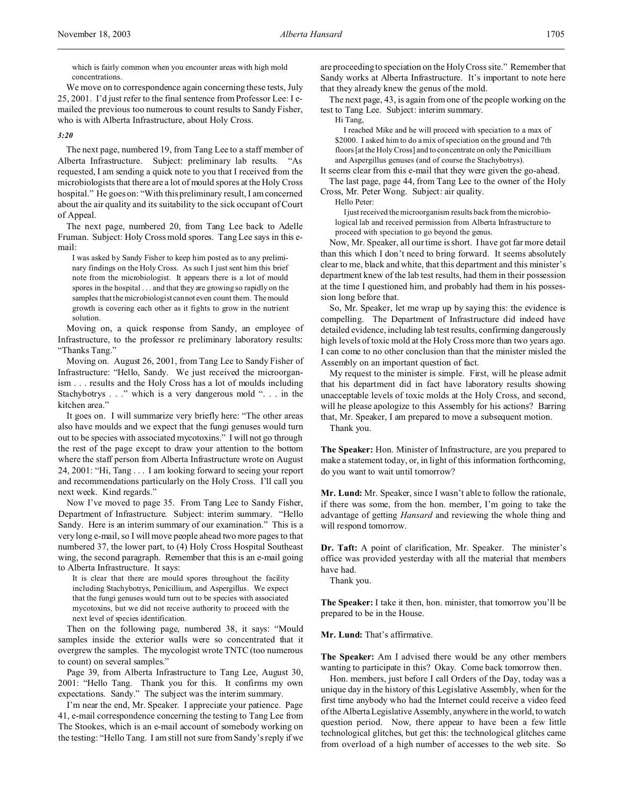which is fairly common when you encounter areas with high mold concentrations.

We move on to correspondence again concerning these tests, July 25, 2001. I'd just refer to the final sentence from Professor Lee: I emailed the previous too numerous to count results to Sandy Fisher, who is with Alberta Infrastructure, about Holy Cross.

#### *3:20*

The next page, numbered 19, from Tang Lee to a staff member of Alberta Infrastructure. Subject: preliminary lab results. "As requested, I am sending a quick note to you that I received from the microbiologists that there are a lot of mould spores at the Holy Cross hospital." He goes on: "With this preliminary result, I am concerned about the air quality and its suitability to the sick occupant of Court of Appeal.

The next page, numbered 20, from Tang Lee back to Adelle Fruman. Subject: Holy Cross mold spores. Tang Lee says in this email:

I was asked by Sandy Fisher to keep him posted as to any preliminary findings on the Holy Cross. As such I just sent him this brief note from the microbiologist. It appears there is a lot of mould spores in the hospital . . . and that they are growing so rapidly on the samples that the microbiologist cannot even count them. The mould growth is covering each other as it fights to grow in the nutrient solution.

Moving on, a quick response from Sandy, an employee of Infrastructure, to the professor re preliminary laboratory results: "Thanks Tang."

Moving on. August 26, 2001, from Tang Lee to Sandy Fisher of Infrastructure: "Hello, Sandy. We just received the microorganism . . . results and the Holy Cross has a lot of moulds including Stachybotrys . . ." which is a very dangerous mold ". . . in the kitchen area."

It goes on. I will summarize very briefly here: "The other areas also have moulds and we expect that the fungi genuses would turn out to be species with associated mycotoxins." I will not go through the rest of the page except to draw your attention to the bottom where the staff person from Alberta Infrastructure wrote on August 24, 2001: "Hi, Tang . . . I am looking forward to seeing your report and recommendations particularly on the Holy Cross. I'll call you next week. Kind regards."

Now I've moved to page 35. From Tang Lee to Sandy Fisher, Department of Infrastructure. Subject: interim summary. "Hello Sandy. Here is an interim summary of our examination." This is a very long e-mail, so I will move people ahead two more pages to that numbered 37, the lower part, to (4) Holy Cross Hospital Southeast wing, the second paragraph. Remember that this is an e-mail going to Alberta Infrastructure. It says:

It is clear that there are mould spores throughout the facility including Stachybotrys, Penicillium, and Aspergillus. We expect that the fungi genuses would turn out to be species with associated mycotoxins, but we did not receive authority to proceed with the next level of species identification.

Then on the following page, numbered 38, it says: "Mould samples inside the exterior walls were so concentrated that it overgrew the samples. The mycologist wrote TNTC (too numerous to count) on several samples."

Page 39, from Alberta Infrastructure to Tang Lee, August 30, 2001: "Hello Tang. Thank you for this. It confirms my own expectations. Sandy." The subject was the interim summary.

I'm near the end, Mr. Speaker. I appreciate your patience. Page 41, e-mail correspondence concerning the testing to Tang Lee from The Stookes, which is an e-mail account of somebody working on the testing: "Hello Tang. I am still not sure from Sandy's reply if we are proceeding to speciation on the Holy Cross site." Remember that Sandy works at Alberta Infrastructure. It's important to note here that they already knew the genus of the mold.

The next page, 43, is again from one of the people working on the test to Tang Lee. Subject: interim summary.

Hi Tang,

I reached Mike and he will proceed with speciation to a max of \$2000. I asked him to do a mix of speciation on the ground and 7th floors [at the Holy Cross] and to concentrate on only the Penicillium and Aspergillus genuses (and of course the Stachybotrys).

It seems clear from this e-mail that they were given the go-ahead. The last page, page 44, from Tang Lee to the owner of the Holy Cross, Mr. Peter Wong. Subject: air quality.

Hello Peter:

I just received the microorganism results back from the microbiological lab and received permission from Alberta Infrastructure to proceed with speciation to go beyond the genus.

Now, Mr. Speaker, all our time is short. I have got far more detail than this which I don't need to bring forward. It seems absolutely clear to me, black and white, that this department and this minister's department knew of the lab test results, had them in their possession at the time I questioned him, and probably had them in his possession long before that.

So, Mr. Speaker, let me wrap up by saying this: the evidence is compelling. The Department of Infrastructure did indeed have detailed evidence, including lab test results, confirming dangerously high levels of toxic mold at the Holy Cross more than two years ago. I can come to no other conclusion than that the minister misled the Assembly on an important question of fact.

My request to the minister is simple. First, will he please admit that his department did in fact have laboratory results showing unacceptable levels of toxic molds at the Holy Cross, and second, will he please apologize to this Assembly for his actions? Barring that, Mr. Speaker, I am prepared to move a subsequent motion.

Thank you.

**The Speaker:** Hon. Minister of Infrastructure, are you prepared to make a statement today, or, in light of this information forthcoming, do you want to wait until tomorrow?

**Mr. Lund:** Mr. Speaker, since I wasn't able to follow the rationale, if there was some, from the hon. member, I'm going to take the advantage of getting *Hansard* and reviewing the whole thing and will respond tomorrow.

**Dr. Taft:** A point of clarification, Mr. Speaker. The minister's office was provided yesterday with all the material that members have had.

Thank you.

**The Speaker:** I take it then, hon. minister, that tomorrow you'll be prepared to be in the House.

**Mr. Lund:** That's affirmative.

**The Speaker:** Am I advised there would be any other members wanting to participate in this? Okay. Come back tomorrow then.

Hon. members, just before I call Orders of the Day, today was a unique day in the history of this Legislative Assembly, when for the first time anybody who had the Internet could receive a video feed of the Alberta Legislative Assembly, anywhere in the world, to watch question period. Now, there appear to have been a few little technological glitches, but get this: the technological glitches came from overload of a high number of accesses to the web site. So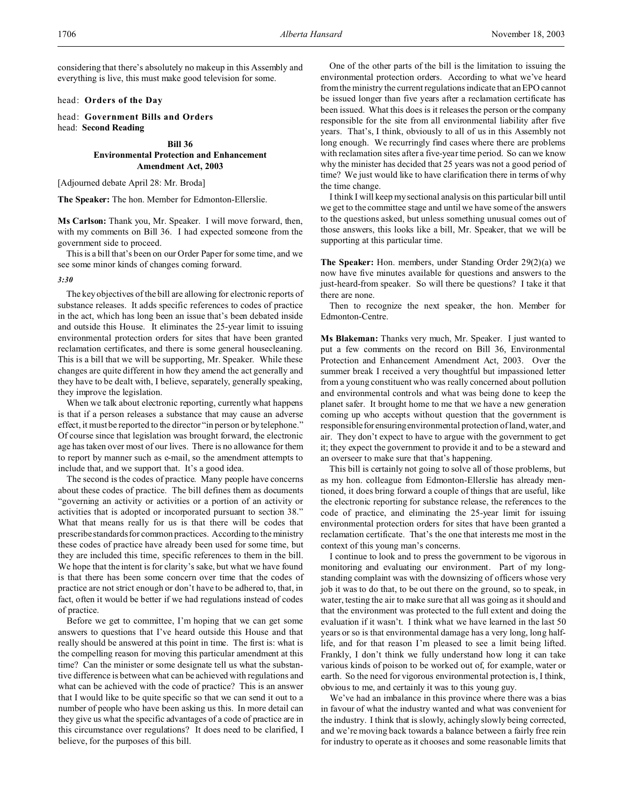considering that there's absolutely no makeup in this Assembly and everything is live, this must make good television for some.

head: **Orders of the Day**

head: **Government Bills and Orders** head: **Second Reading**

#### **Bill 36**

### **Environmental Protection and Enhancement Amendment Act, 2003**

[Adjourned debate April 28: Mr. Broda]

**The Speaker:** The hon. Member for Edmonton-Ellerslie.

**Ms Carlson:** Thank you, Mr. Speaker. I will move forward, then, with my comments on Bill 36. I had expected someone from the government side to proceed.

This is a bill that's been on our Order Paper for some time, and we see some minor kinds of changes coming forward.

#### *3:30*

The key objectives of the bill are allowing for electronic reports of substance releases. It adds specific references to codes of practice in the act, which has long been an issue that's been debated inside and outside this House. It eliminates the 25-year limit to issuing environmental protection orders for sites that have been granted reclamation certificates, and there is some general housecleaning. This is a bill that we will be supporting, Mr. Speaker. While these changes are quite different in how they amend the act generally and they have to be dealt with, I believe, separately, generally speaking, they improve the legislation.

When we talk about electronic reporting, currently what happens is that if a person releases a substance that may cause an adverse effect, it must be reported to the director "in person or by telephone." Of course since that legislation was brought forward, the electronic age has taken over most of our lives. There is no allowance for them to report by manner such as e-mail, so the amendment attempts to include that, and we support that. It's a good idea.

The second is the codes of practice. Many people have concerns about these codes of practice. The bill defines them as documents "governing an activity or activities or a portion of an activity or activities that is adopted or incorporated pursuant to section 38." What that means really for us is that there will be codes that prescribe standards for common practices. According to the ministry these codes of practice have already been used for some time, but they are included this time, specific references to them in the bill. We hope that the intent is for clarity's sake, but what we have found is that there has been some concern over time that the codes of practice are not strict enough or don't have to be adhered to, that, in fact, often it would be better if we had regulations instead of codes of practice.

Before we get to committee, I'm hoping that we can get some answers to questions that I've heard outside this House and that really should be answered at this point in time. The first is: what is the compelling reason for moving this particular amendment at this time? Can the minister or some designate tell us what the substantive difference is between what can be achieved with regulations and what can be achieved with the code of practice? This is an answer that I would like to be quite specific so that we can send it out to a number of people who have been asking us this. In more detail can they give us what the specific advantages of a code of practice are in this circumstance over regulations? It does need to be clarified, I believe, for the purposes of this bill.

One of the other parts of the bill is the limitation to issuing the environmental protection orders. According to what we've heard from the ministry the current regulations indicate that an EPO cannot be issued longer than five years after a reclamation certificate has been issued. What this does is it releases the person or the company responsible for the site from all environmental liability after five years. That's, I think, obviously to all of us in this Assembly not long enough. We recurringly find cases where there are problems with reclamation sites after a five-year time period. So can we know why the minister has decided that 25 years was not a good period of time? We just would like to have clarification there in terms of why the time change.

I think I will keep my sectional analysis on this particular bill until we get to the committee stage and until we have some of the answers to the questions asked, but unless something unusual comes out of those answers, this looks like a bill, Mr. Speaker, that we will be supporting at this particular time.

**The Speaker:** Hon. members, under Standing Order 29(2)(a) we now have five minutes available for questions and answers to the just-heard-from speaker. So will there be questions? I take it that there are none.

Then to recognize the next speaker, the hon. Member for Edmonton-Centre.

**Ms Blakeman:** Thanks very much, Mr. Speaker. I just wanted to put a few comments on the record on Bill 36, Environmental Protection and Enhancement Amendment Act, 2003. Over the summer break I received a very thoughtful but impassioned letter from a young constituent who was really concerned about pollution and environmental controls and what was being done to keep the planet safer. It brought home to me that we have a new generation coming up who accepts without question that the government is responsible for ensuring environmental protection of land, water, and air. They don't expect to have to argue with the government to get it; they expect the government to provide it and to be a steward and an overseer to make sure that that's happening.

This bill is certainly not going to solve all of those problems, but as my hon. colleague from Edmonton-Ellerslie has already mentioned, it does bring forward a couple of things that are useful, like the electronic reporting for substance release, the references to the code of practice, and eliminating the 25-year limit for issuing environmental protection orders for sites that have been granted a reclamation certificate. That's the one that interests me most in the context of this young man's concerns.

I continue to look and to press the government to be vigorous in monitoring and evaluating our environment. Part of my longstanding complaint was with the downsizing of officers whose very job it was to do that, to be out there on the ground, so to speak, in water, testing the air to make sure that all was going as it should and that the environment was protected to the full extent and doing the evaluation if it wasn't. I think what we have learned in the last 50 years or so is that environmental damage has a very long, long halflife, and for that reason I'm pleased to see a limit being lifted. Frankly, I don't think we fully understand how long it can take various kinds of poison to be worked out of, for example, water or earth. So the need for vigorous environmental protection is, I think, obvious to me, and certainly it was to this young guy.

We've had an imbalance in this province where there was a bias in favour of what the industry wanted and what was convenient for the industry. I think that is slowly, achingly slowly being corrected, and we're moving back towards a balance between a fairly free rein for industry to operate as it chooses and some reasonable limits that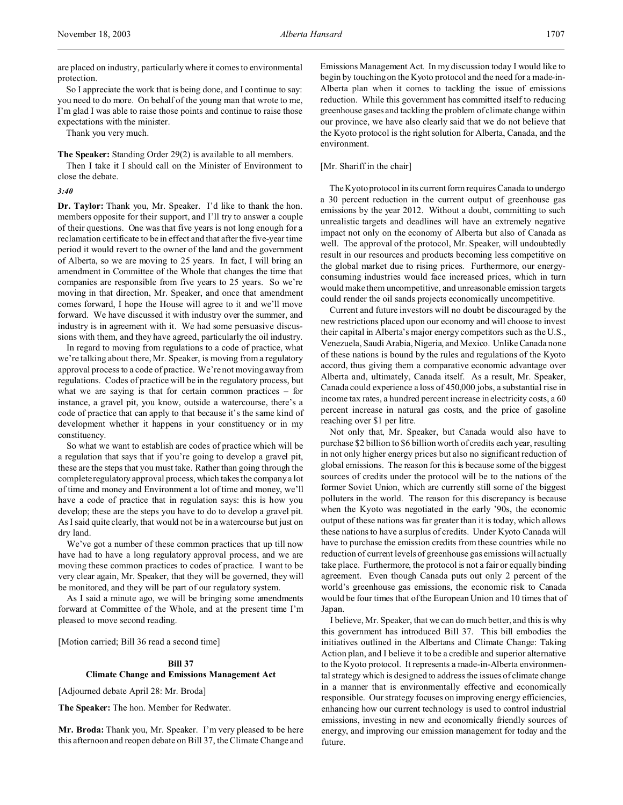are placed on industry, particularly where it comes to environmental protection.

So I appreciate the work that is being done, and I continue to say: you need to do more. On behalf of the young man that wrote to me, I'm glad I was able to raise those points and continue to raise those expectations with the minister.

Thank you very much.

**The Speaker:** Standing Order 29(2) is available to all members.

Then I take it I should call on the Minister of Environment to close the debate.

#### *3:40*

**Dr. Taylor:** Thank you, Mr. Speaker. I'd like to thank the hon. members opposite for their support, and I'll try to answer a couple of their questions. One was that five years is not long enough for a reclamation certificate to be in effect and that after the five-year time period it would revert to the owner of the land and the government of Alberta, so we are moving to 25 years. In fact, I will bring an amendment in Committee of the Whole that changes the time that companies are responsible from five years to 25 years. So we're moving in that direction, Mr. Speaker, and once that amendment comes forward, I hope the House will agree to it and we'll move forward. We have discussed it with industry over the summer, and industry is in agreement with it. We had some persuasive discussions with them, and they have agreed, particularly the oil industry.

In regard to moving from regulations to a code of practice, what we're talking about there, Mr. Speaker, is moving from a regulatory approval process to a code of practice. We're not moving away from regulations. Codes of practice will be in the regulatory process, but what we are saying is that for certain common practices – for instance, a gravel pit, you know, outside a watercourse, there's a code of practice that can apply to that because it's the same kind of development whether it happens in your constituency or in my constituency.

So what we want to establish are codes of practice which will be a regulation that says that if you're going to develop a gravel pit, these are the steps that you must take. Rather than going through the complete regulatory approval process, which takes the company a lot of time and money and Environment a lot of time and money, we'll have a code of practice that in regulation says: this is how you develop; these are the steps you have to do to develop a gravel pit. As I said quite clearly, that would not be in a watercourse but just on dry land.

We've got a number of these common practices that up till now have had to have a long regulatory approval process, and we are moving these common practices to codes of practice. I want to be very clear again, Mr. Speaker, that they will be governed, they will be monitored, and they will be part of our regulatory system.

As I said a minute ago, we will be bringing some amendments forward at Committee of the Whole, and at the present time I'm pleased to move second reading.

[Motion carried; Bill 36 read a second time]

#### **Bill 37**

#### **Climate Change and Emissions Management Act**

[Adjourned debate April 28: Mr. Broda]

**The Speaker:** The hon. Member for Redwater.

**Mr. Broda:** Thank you, Mr. Speaker. I'm very pleased to be here this afternoon and reopen debate on Bill 37, the Climate Change and Emissions Management Act. In my discussion today I would like to begin by touching on the Kyoto protocol and the need for a made-in-Alberta plan when it comes to tackling the issue of emissions reduction. While this government has committed itself to reducing greenhouse gases and tackling the problem of climate change within our province, we have also clearly said that we do not believe that the Kyoto protocol is the right solution for Alberta, Canada, and the environment.

### [Mr. Shariff in the chair]

The Kyoto protocol in its current form requires Canada to undergo a 30 percent reduction in the current output of greenhouse gas emissions by the year 2012. Without a doubt, committing to such unrealistic targets and deadlines will have an extremely negative impact not only on the economy of Alberta but also of Canada as well. The approval of the protocol, Mr. Speaker, will undoubtedly result in our resources and products becoming less competitive on the global market due to rising prices. Furthermore, our energyconsuming industries would face increased prices, which in turn would make them uncompetitive, and unreasonable emission targets could render the oil sands projects economically uncompetitive.

Current and future investors will no doubt be discouraged by the new restrictions placed upon our economy and will choose to invest their capital in Alberta's major energy competitors such as the U.S., Venezuela, Saudi Arabia, Nigeria, and Mexico. Unlike Canada none of these nations is bound by the rules and regulations of the Kyoto accord, thus giving them a comparative economic advantage over Alberta and, ultimately, Canada itself. As a result, Mr. Speaker, Canada could experience a loss of 450,000 jobs, a substantial rise in income tax rates, a hundred percent increase in electricity costs, a 60 percent increase in natural gas costs, and the price of gasoline reaching over \$1 per litre.

Not only that, Mr. Speaker, but Canada would also have to purchase \$2 billion to \$6 billion worth of credits each year, resulting in not only higher energy prices but also no significant reduction of global emissions. The reason for this is because some of the biggest sources of credits under the protocol will be to the nations of the former Soviet Union, which are currently still some of the biggest polluters in the world. The reason for this discrepancy is because when the Kyoto was negotiated in the early '90s, the economic output of these nations was far greater than it is today, which allows these nations to have a surplus of credits. Under Kyoto Canada will have to purchase the emission credits from these countries while no reduction of current levels of greenhouse gas emissions will actually take place. Furthermore, the protocol is not a fair or equally binding agreement. Even though Canada puts out only 2 percent of the world's greenhouse gas emissions, the economic risk to Canada would be four times that of the European Union and 10 times that of Japan.

I believe, Mr. Speaker, that we can do much better, and this is why this government has introduced Bill 37. This bill embodies the initiatives outlined in the Albertans and Climate Change: Taking Action plan, and I believe it to be a credible and superior alternative to the Kyoto protocol. It represents a made-in-Alberta environmental strategy which is designed to address the issues of climate change in a manner that is environmentally effective and economically responsible. Our strategy focuses on improving energy efficiencies, enhancing how our current technology is used to control industrial emissions, investing in new and economically friendly sources of energy, and improving our emission management for today and the future.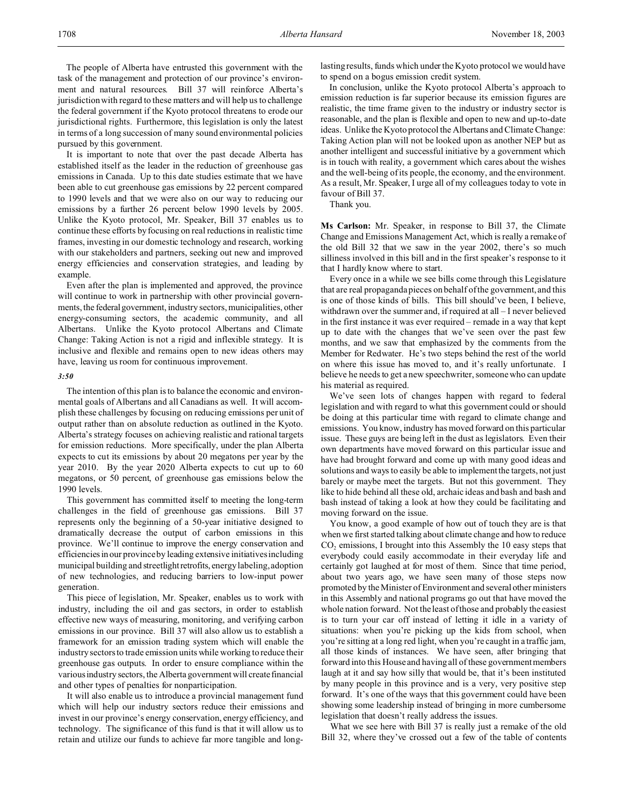The people of Alberta have entrusted this government with the task of the management and protection of our province's environment and natural resources. Bill 37 will reinforce Alberta's jurisdiction with regard to these matters and will help us to challenge the federal government if the Kyoto protocol threatens to erode our jurisdictional rights. Furthermore, this legislation is only the latest in terms of a long succession of many sound environmental policies pursued by this government.

It is important to note that over the past decade Alberta has established itself as the leader in the reduction of greenhouse gas emissions in Canada. Up to this date studies estimate that we have been able to cut greenhouse gas emissions by 22 percent compared to 1990 levels and that we were also on our way to reducing our emissions by a further 26 percent below 1990 levels by 2005. Unlike the Kyoto protocol, Mr. Speaker, Bill 37 enables us to continue these efforts by focusing on real reductions in realistic time frames, investing in our domestic technology and research, working with our stakeholders and partners, seeking out new and improved energy efficiencies and conservation strategies, and leading by example.

Even after the plan is implemented and approved, the province will continue to work in partnership with other provincial governments, the federal government, industry sectors, municipalities, other energy-consuming sectors, the academic community, and all Albertans. Unlike the Kyoto protocol Albertans and Climate Change: Taking Action is not a rigid and inflexible strategy. It is inclusive and flexible and remains open to new ideas others may have, leaving us room for continuous improvement.

#### *3:50*

The intention of this plan is to balance the economic and environmental goals of Albertans and all Canadians as well. It will accomplish these challenges by focusing on reducing emissions per unit of output rather than on absolute reduction as outlined in the Kyoto. Alberta's strategy focuses on achieving realistic and rational targets for emission reductions. More specifically, under the plan Alberta expects to cut its emissions by about 20 megatons per year by the year 2010. By the year 2020 Alberta expects to cut up to 60 megatons, or 50 percent, of greenhouse gas emissions below the 1990 levels.

This government has committed itself to meeting the long-term challenges in the field of greenhouse gas emissions. Bill 37 represents only the beginning of a 50-year initiative designed to dramatically decrease the output of carbon emissions in this province. We'll continue to improve the energy conservation and efficienciesin our province by leading extensive initiatives including municipal building and streetlightretrofits, energy labeling, adoption of new technologies, and reducing barriers to low-input power generation.

This piece of legislation, Mr. Speaker, enables us to work with industry, including the oil and gas sectors, in order to establish effective new ways of measuring, monitoring, and verifying carbon emissions in our province. Bill 37 will also allow us to establish a framework for an emission trading system which will enable the industry sectors to trade emission units while working to reduce their greenhouse gas outputs. In order to ensure compliance within the various industry sectors, the Alberta government will create financial and other types of penalties for nonparticipation.

It will also enable us to introduce a provincial management fund which will help our industry sectors reduce their emissions and invest in our province's energy conservation, energy efficiency, and technology. The significance of this fund is that it will allow us to retain and utilize our funds to achieve far more tangible and longlasting results, funds which under the Kyoto protocol we would have to spend on a bogus emission credit system.

In conclusion, unlike the Kyoto protocol Alberta's approach to emission reduction is far superior because its emission figures are realistic, the time frame given to the industry or industry sector is reasonable, and the plan is flexible and open to new and up-to-date ideas. Unlike the Kyoto protocol the Albertans and Climate Change: Taking Action plan will not be looked upon as another NEP but as another intelligent and successful initiative by a government which is in touch with reality, a government which cares about the wishes and the well-being of its people, the economy, and the environment. As a result, Mr. Speaker, I urge all of my colleagues today to vote in favour of Bill 37.

Thank you.

**Ms Carlson:** Mr. Speaker, in response to Bill 37, the Climate Change and Emissions Management Act, which is really a remake of the old Bill 32 that we saw in the year 2002, there's so much silliness involved in this bill and in the first speaker's response to it that I hardly know where to start.

Every once in a while we see bills come through this Legislature that are real propaganda pieces on behalf of the government, and this is one of those kinds of bills. This bill should've been, I believe, withdrawn over the summer and, if required at all – I never believed in the first instance it was ever required – remade in a way that kept up to date with the changes that we've seen over the past few months, and we saw that emphasized by the comments from the Member for Redwater. He's two steps behind the rest of the world on where this issue has moved to, and it's really unfortunate. I believe he needs to get a new speechwriter, someone who can update his material as required.

We've seen lots of changes happen with regard to federal legislation and with regard to what this government could or should be doing at this particular time with regard to climate change and emissions. You know, industry has moved forward on this particular issue. These guys are being left in the dust as legislators. Even their own departments have moved forward on this particular issue and have had brought forward and come up with many good ideas and solutions and ways to easily be able to implement the targets, not just barely or maybe meet the targets. But not this government. They like to hide behind all these old, archaic ideas and bash and bash and bash instead of taking a look at how they could be facilitating and moving forward on the issue.

You know, a good example of how out of touch they are is that when we first started talking about climate change and how to reduce  $CO<sub>2</sub>$  emissions, I brought into this Assembly the 10 easy steps that everybody could easily accommodate in their everyday life and certainly got laughed at for most of them. Since that time period, about two years ago, we have seen many of those steps now promoted by the Minister of Environment and several other ministers in this Assembly and national programs go out that have moved the whole nation forward. Not the least of those and probably the easiest is to turn your car off instead of letting it idle in a variety of situations: when you're picking up the kids from school, when you're sitting at a long red light, when you're caught in a traffic jam, all those kinds of instances. We have seen, after bringing that forward into this House and having all of these government members laugh at it and say how silly that would be, that it's been instituted by many people in this province and is a very, very positive step forward. It's one of the ways that this government could have been showing some leadership instead of bringing in more cumbersome legislation that doesn't really address the issues.

What we see here with Bill 37 is really just a remake of the old Bill 32, where they've crossed out a few of the table of contents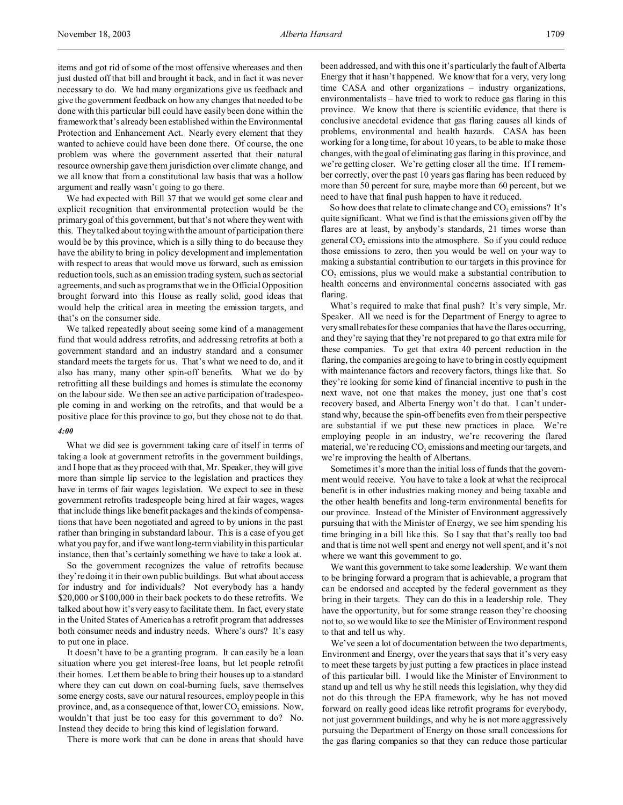items and got rid of some of the most offensive whereases and then just dusted off that bill and brought it back, and in fact it was never necessary to do. We had many organizations give us feedback and give the government feedback on how any changes that needed to be done with this particular bill could have easily been done within the framework that's already been established within the Environmental Protection and Enhancement Act. Nearly every element that they wanted to achieve could have been done there. Of course, the one problem was where the government asserted that their natural resource ownership gave them jurisdiction over climate change, and we all know that from a constitutional law basis that was a hollow argument and really wasn't going to go there.

We had expected with Bill 37 that we would get some clear and explicit recognition that environmental protection would be the primary goal of this government, but that's not where they went with this. They talked about toying with the amount of participation there would be by this province, which is a silly thing to do because they have the ability to bring in policy development and implementation with respect to areas that would move us forward, such as emission reduction tools, such as an emission trading system, such as sectorial agreements, and such as programs that we in the Official Opposition brought forward into this House as really solid, good ideas that would help the critical area in meeting the emission targets, and that's on the consumer side.

We talked repeatedly about seeing some kind of a management fund that would address retrofits, and addressing retrofits at both a government standard and an industry standard and a consumer standard meets the targets for us. That's what we need to do, and it also has many, many other spin-off benefits. What we do by retrofitting all these buildings and homes is stimulate the economy on the labour side. We then see an active participation of tradespeople coming in and working on the retrofits, and that would be a positive place for this province to go, but they chose not to do that.

#### *4:00*

What we did see is government taking care of itself in terms of taking a look at government retrofits in the government buildings, and I hope that as they proceed with that, Mr. Speaker, they will give more than simple lip service to the legislation and practices they have in terms of fair wages legislation. We expect to see in these government retrofits tradespeople being hired at fair wages, wages that include things like benefit packages and the kinds of compensations that have been negotiated and agreed to by unions in the past rather than bringing in substandard labour. This is a case of you get what you pay for, and if we want long-term viability in this particular instance, then that's certainly something we have to take a look at.

So the government recognizes the value of retrofits because they're doing it in their own public buildings. But what about access for industry and for individuals? Not everybody has a handy \$20,000 or \$100,000 in their back pockets to do these retrofits. We talked about how it's very easy to facilitate them. In fact, every state in the United States of America has a retrofit program that addresses both consumer needs and industry needs. Where's ours? It's easy to put one in place.

It doesn't have to be a granting program. It can easily be a loan situation where you get interest-free loans, but let people retrofit their homes. Let them be able to bring their houses up to a standard where they can cut down on coal-burning fuels, save themselves some energy costs, save our natural resources, employ people in this province, and, as a consequence of that, lower  $CO_2$  emissions. Now, wouldn't that just be too easy for this government to do? No. Instead they decide to bring this kind of legislation forward.

There is more work that can be done in areas that should have

been addressed, and with this one it's particularly the fault of Alberta Energy that it hasn't happened. We know that for a very, very long time CASA and other organizations – industry organizations, environmentalists – have tried to work to reduce gas flaring in this province. We know that there is scientific evidence, that there is conclusive anecdotal evidence that gas flaring causes all kinds of problems, environmental and health hazards. CASA has been working for a long time, for about 10 years, to be able to make those changes, with the goal of eliminating gas flaring in this province, and we're getting closer. We're getting closer all the time. If I remember correctly, over the past 10 years gas flaring has been reduced by more than 50 percent for sure, maybe more than 60 percent, but we need to have that final push happen to have it reduced.

So how does that relate to climate change and  $CO_2$  emissions? It's quite significant. What we find is that the emissions given off by the flares are at least, by anybody's standards, 21 times worse than general  $CO<sub>2</sub>$  emissions into the atmosphere. So if you could reduce those emissions to zero, then you would be well on your way to making a substantial contribution to our targets in this province for  $CO<sub>2</sub>$  emissions, plus we would make a substantial contribution to health concerns and environmental concerns associated with gas flaring.

What's required to make that final push? It's very simple, Mr. Speaker. All we need is for the Department of Energy to agree to very small rebates for these companies that have the flares occurring, and they're saying that they're not prepared to go that extra mile for these companies. To get that extra 40 percent reduction in the flaring, the companies are going to have to bring in costly equipment with maintenance factors and recovery factors, things like that. So they're looking for some kind of financial incentive to push in the next wave, not one that makes the money, just one that's cost recovery based, and Alberta Energy won't do that. I can't understand why, because the spin-off benefits even from their perspective are substantial if we put these new practices in place. We're employing people in an industry, we're recovering the flared material, we're reducing  $\mathrm{CO}_2$  emissions and meeting our targets, and we're improving the health of Albertans.

Sometimes it's more than the initial loss of funds that the government would receive. You have to take a look at what the reciprocal benefit is in other industries making money and being taxable and the other health benefits and long-term environmental benefits for our province. Instead of the Minister of Environment aggressively pursuing that with the Minister of Energy, we see him spending his time bringing in a bill like this. So I say that that's really too bad and that is time not well spent and energy not well spent, and it's not where we want this government to go.

We want this government to take some leadership. We want them to be bringing forward a program that is achievable, a program that can be endorsed and accepted by the federal government as they bring in their targets. They can do this in a leadership role. They have the opportunity, but for some strange reason they're choosing not to, so we would like to see the Minister of Environment respond to that and tell us why.

We've seen a lot of documentation between the two departments, Environment and Energy, over the years that says that it's very easy to meet these targets by just putting a few practices in place instead of this particular bill. I would like the Minister of Environment to stand up and tell us why he still needs this legislation, why they did not do this through the EPA framework, why he has not moved forward on really good ideas like retrofit programs for everybody, not just government buildings, and why he is not more aggressively pursuing the Department of Energy on those small concessions for the gas flaring companies so that they can reduce those particular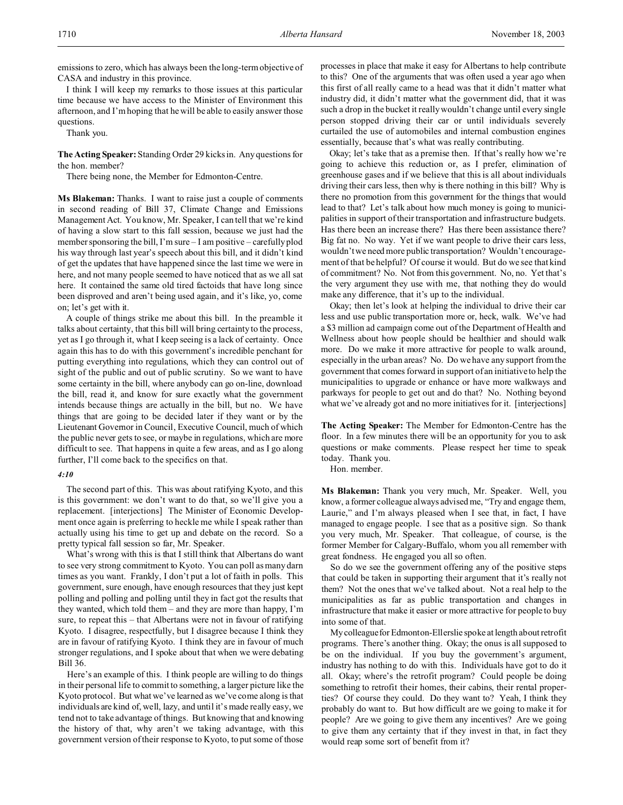emissions to zero, which has always been the long-term objective of CASA and industry in this province.

I think I will keep my remarks to those issues at this particular time because we have access to the Minister of Environment this afternoon, and I'm hoping that he will be able to easily answer those questions.

Thank you.

**The Acting Speaker:** Standing Order 29 kicks in. Any questions for the hon. member?

There being none, the Member for Edmonton-Centre.

**Ms Blakeman:** Thanks. I want to raise just a couple of comments in second reading of Bill 37, Climate Change and Emissions Management Act. You know, Mr. Speaker, I can tell that we're kind of having a slow start to this fall session, because we just had the member sponsoring the bill, I'm sure – I am positive – carefully plod his way through last year's speech about this bill, and it didn't kind of get the updates that have happened since the last time we were in here, and not many people seemed to have noticed that as we all sat here. It contained the same old tired factoids that have long since been disproved and aren't being used again, and it's like, yo, come on; let's get with it.

A couple of things strike me about this bill. In the preamble it talks about certainty, that this bill will bring certainty to the process, yet as I go through it, what I keep seeing is a lack of certainty. Once again this has to do with this government's incredible penchant for putting everything into regulations, which they can control out of sight of the public and out of public scrutiny. So we want to have some certainty in the bill, where anybody can go on-line, download the bill, read it, and know for sure exactly what the government intends because things are actually in the bill, but no. We have things that are going to be decided later if they want or by the Lieutenant Governor in Council, Executive Council, much of which the public never gets to see, or maybe in regulations, which are more difficult to see. That happens in quite a few areas, and as I go along further, I'll come back to the specifics on that.

#### *4:10*

The second part of this. This was about ratifying Kyoto, and this is this government: we don't want to do that, so we'll give you a replacement. [interjections] The Minister of Economic Development once again is preferring to heckle me while I speak rather than actually using his time to get up and debate on the record. So a pretty typical fall session so far, Mr. Speaker.

What's wrong with this is that I still think that Albertans do want to see very strong commitment to Kyoto. You can poll as many darn times as you want. Frankly, I don't put a lot of faith in polls. This government, sure enough, have enough resources that they just kept polling and polling and polling until they in fact got the results that they wanted, which told them – and they are more than happy, I'm sure, to repeat this – that Albertans were not in favour of ratifying Kyoto. I disagree, respectfully, but I disagree because I think they are in favour of ratifying Kyoto. I think they are in favour of much stronger regulations, and I spoke about that when we were debating Bill 36.

Here's an example of this. I think people are willing to do things in their personal life to commit to something, a larger picture like the Kyoto protocol. But what we've learned as we've come along is that individuals are kind of, well, lazy, and until it's made really easy, we tend not to take advantage of things. But knowing that and knowing the history of that, why aren't we taking advantage, with this government version of their response to Kyoto, to put some of those

processes in place that make it easy for Albertans to help contribute to this? One of the arguments that was often used a year ago when this first of all really came to a head was that it didn't matter what industry did, it didn't matter what the government did, that it was such a drop in the bucket it really wouldn't change until every single person stopped driving their car or until individuals severely curtailed the use of automobiles and internal combustion engines essentially, because that's what was really contributing.

Okay; let's take that as a premise then. If that's really how we're going to achieve this reduction or, as I prefer, elimination of greenhouse gases and if we believe that this is all about individuals driving their cars less, then why is there nothing in this bill? Why is there no promotion from this government for the things that would lead to that? Let's talk about how much money is going to municipalities in support of their transportation and infrastructure budgets. Has there been an increase there? Has there been assistance there? Big fat no. No way. Yet if we want people to drive their cars less, wouldn't we need more public transportation? Wouldn't encouragement of that be helpful? Of course it would. But do we see that kind of commitment? No. Not from this government. No, no. Yet that's the very argument they use with me, that nothing they do would make any difference, that it's up to the individual.

Okay; then let's look at helping the individual to drive their car less and use public transportation more or, heck, walk. We've had a \$3 million ad campaign come out of the Department of Health and Wellness about how people should be healthier and should walk more. Do we make it more attractive for people to walk around, especially in the urban areas? No. Do we have any support from the government that comes forward in support of an initiative to help the municipalities to upgrade or enhance or have more walkways and parkways for people to get out and do that? No. Nothing beyond what we've already got and no more initiatives for it. [interjections]

**The Acting Speaker:** The Member for Edmonton-Centre has the floor. In a few minutes there will be an opportunity for you to ask questions or make comments. Please respect her time to speak today. Thank you.

Hon. member.

**Ms Blakeman:** Thank you very much, Mr. Speaker. Well, you know, a former colleague always advised me, "Try and engage them, Laurie," and I'm always pleased when I see that, in fact, I have managed to engage people. I see that as a positive sign. So thank you very much, Mr. Speaker. That colleague, of course, is the former Member for Calgary-Buffalo, whom you all remember with great fondness. He engaged you all so often.

So do we see the government offering any of the positive steps that could be taken in supporting their argument that it's really not them? Not the ones that we've talked about. Not a real help to the municipalities as far as public transportation and changes in infrastructure that make it easier or more attractive for people to buy into some of that.

Mycolleaguefor Edmonton-Ellerslie spoke at length about retrofit programs. There's another thing. Okay; the onus is all supposed to be on the individual. If you buy the government's argument, industry has nothing to do with this. Individuals have got to do it all. Okay; where's the retrofit program? Could people be doing something to retrofit their homes, their cabins, their rental properties? Of course they could. Do they want to? Yeah, I think they probably do want to. But how difficult are we going to make it for people? Are we going to give them any incentives? Are we going to give them any certainty that if they invest in that, in fact they would reap some sort of benefit from it?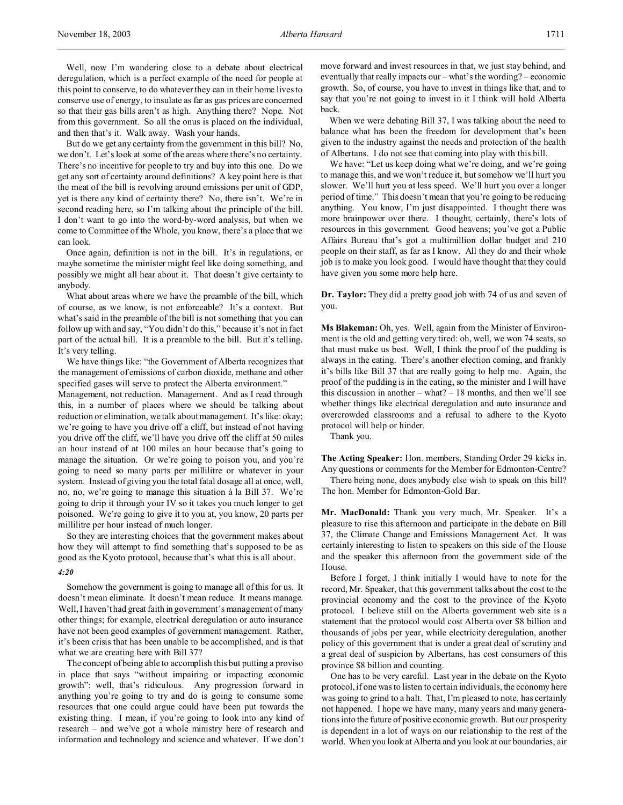Well, now I'm wandering close to a debate about electrical deregulation, which is a perfect example of the need for people at this point to conserve, to do whatever they can in their home lives to conserve use of energy, to insulate as far as gas prices are concerned so that their gas bills aren't as high. Anything there? Nope. Not from this government. So all the onus is placed on the individual, and then that's it. Walk away. Wash your hands.

But do we get any certainty from the government in this bill? No, we don't. Let's look at some of the areas where there's no certainty. There's no incentive for people to try and buy into this one. Do we get any sort of certainty around definitions? A key point here is that the meat of the bill is revolving around emissions per unit of GDP, yet is there any kind of certainty there? No, there isn't. We're in second reading here, so I'm talking about the principle of the bill. I don't want to go into the word-by-word analysis, but when we come to Committee of the Whole, you know, there's a place that we can look.

Once again, definition is not in the bill. It's in regulations, or maybe sometime the minister might feel like doing something, and possibly we might all hear about it. That doesn't give certainty to anybody.

What about areas where we have the preamble of the bill, which of course, as we know, is not enforceable? It's a context. But what's said in the preamble of the bill is not something that you can follow up with and say, "You didn't do this," because it's not in fact part of the actual bill. It is a preamble to the bill. But it's telling. It's very telling.

We have things like: "the Government of Alberta recognizes that the management of emissions of carbon dioxide, methane and other specified gases will serve to protect the Alberta environment."

Management, not reduction. Management. And as I read through this, in a number of places where we should be talking about reduction or elimination, we talk about management. It's like: okay; we're going to have you drive off a cliff, but instead of not having you drive off the cliff, we'll have you drive off the cliff at 50 miles an hour instead of at 100 miles an hour because that's going to manage the situation. Or we're going to poison you, and you're going to need so many parts per millilitre or whatever in your system. Instead of giving you the total fatal dosage all at once, well, no, no, we're going to manage this situation à la Bill 37. We're going to drip it through your IV so it takes you much longer to get poisoned. We're going to give it to you at, you know, 20 parts per millilitre per hour instead of much longer.

So they are interesting choices that the government makes about how they will attempt to find something that's supposed to be as good as the Kyoto protocol, because that's what this is all about.

#### *4:20*

Somehow the government is going to manage all of this for us. It doesn't mean eliminate. It doesn't mean reduce. It means manage. Well, I haven't had great faith in government's management of many other things; for example, electrical deregulation or auto insurance have not been good examples of government management. Rather, it's been crisis that has been unable to be accomplished, and is that what we are creating here with Bill 37?

The concept of being able to accomplish this but putting a proviso in place that says "without impairing or impacting economic growth": well, that's ridiculous. Any progression forward in anything you're going to try and do is going to consume some resources that one could argue could have been put towards the existing thing. I mean, if you're going to look into any kind of research – and we've got a whole ministry here of research and information and technology and science and whatever. If we don't move forward and invest resources in that, we just stay behind, and eventually that really impacts our – what's the wording? – economic growth. So, of course, you have to invest in things like that, and to say that you're not going to invest in it I think will hold Alberta back.

When we were debating Bill 37, I was talking about the need to balance what has been the freedom for development that's been given to the industry against the needs and protection of the health of Albertans. I do not see that coming into play with this bill.

We have: "Let us keep doing what we're doing, and we're going to manage this, and we won't reduce it, but somehow we'll hurt you slower. We'll hurt you at less speed. We'll hurt you over a longer period of time." This doesn't mean that you're going to be reducing anything. You know, I'm just disappointed. I thought there was more brainpower over there. I thought, certainly, there's lots of resources in this government. Good heavens; you've got a Public Affairs Bureau that's got a multimillion dollar budget and 210 people on their staff, as far as I know. All they do and their whole job is to make you look good. I would have thought that they could have given you some more help here.

**Dr. Taylor:** They did a pretty good job with 74 of us and seven of you.

**Ms Blakeman:** Oh, yes. Well, again from the Minister of Environment is the old and getting very tired: oh, well, we won 74 seats, so that must make us best. Well, I think the proof of the pudding is always in the eating. There's another election coming, and frankly it's bills like Bill 37 that are really going to help me. Again, the proof of the pudding is in the eating, so the minister and I will have this discussion in another – what?  $-18$  months, and then we'll see whether things like electrical deregulation and auto insurance and overcrowded classrooms and a refusal to adhere to the Kyoto protocol will help or hinder.

Thank you.

**The Acting Speaker:** Hon. members, Standing Order 29 kicks in. Any questions or comments for the Member for Edmonton-Centre?

There being none, does anybody else wish to speak on this bill? The hon. Member for Edmonton-Gold Bar.

**Mr. MacDonald:** Thank you very much, Mr. Speaker. It's a pleasure to rise this afternoon and participate in the debate on Bill 37, the Climate Change and Emissions Management Act. It was certainly interesting to listen to speakers on this side of the House and the speaker this afternoon from the government side of the House.

Before I forget, I think initially I would have to note for the record, Mr. Speaker, that this government talks about the cost to the provincial economy and the cost to the province of the Kyoto protocol. I believe still on the Alberta government web site is a statement that the protocol would cost Alberta over \$8 billion and thousands of jobs per year, while electricity deregulation, another policy of this government that is under a great deal of scrutiny and a great deal of suspicion by Albertans, has cost consumers of this province \$8 billion and counting.

One has to be very careful. Last year in the debate on the Kyoto protocol, if one was to listen to certain individuals, the economy here was going to grind to a halt. That, I'm pleased to note, has certainly not happened. I hope we have many, many years and many generations into the future of positive economic growth. But our prosperity is dependent in a lot of ways on our relationship to the rest of the world. When you look at Alberta and you look at our boundaries, air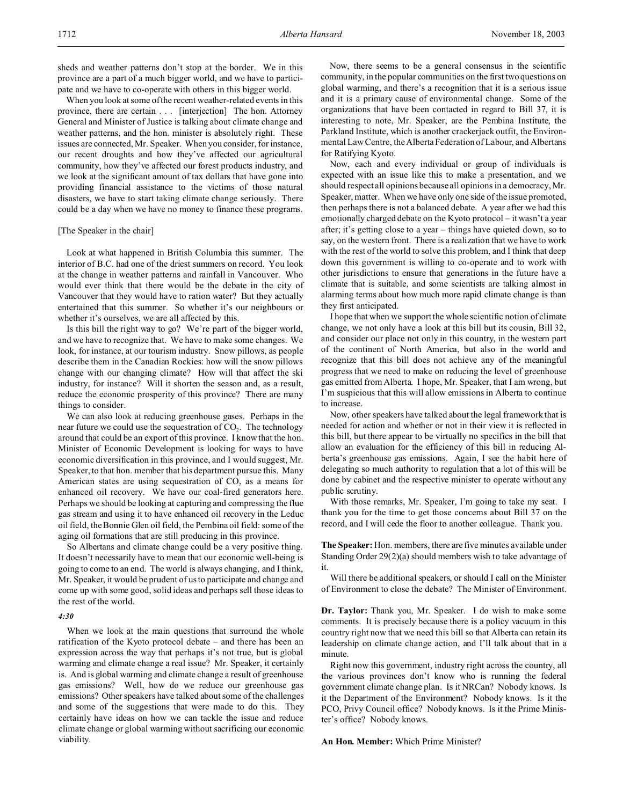sheds and weather patterns don't stop at the border. We in this province are a part of a much bigger world, and we have to participate and we have to co-operate with others in this bigger world.

When you look at some of the recent weather-related events in this province, there are certain . . . [interjection] The hon. Attorney General and Minister of Justice is talking about climate change and weather patterns, and the hon. minister is absolutely right. These issues are connected, Mr. Speaker. When you consider, for instance, our recent droughts and how they've affected our agricultural community, how they've affected our forest products industry, and we look at the significant amount of tax dollars that have gone into providing financial assistance to the victims of those natural disasters, we have to start taking climate change seriously. There could be a day when we have no money to finance these programs.

### [The Speaker in the chair]

Look at what happened in British Columbia this summer. The interior of B.C. had one of the driest summers on record. You look at the change in weather patterns and rainfall in Vancouver. Who would ever think that there would be the debate in the city of Vancouver that they would have to ration water? But they actually entertained that this summer. So whether it's our neighbours or whether it's ourselves, we are all affected by this.

Is this bill the right way to go? We're part of the bigger world, and we have to recognize that. We have to make some changes. We look, for instance, at our tourism industry. Snow pillows, as people describe them in the Canadian Rockies: how will the snow pillows change with our changing climate? How will that affect the ski industry, for instance? Will it shorten the season and, as a result, reduce the economic prosperity of this province? There are many things to consider.

We can also look at reducing greenhouse gases. Perhaps in the near future we could use the sequestration of  $CO<sub>2</sub>$ . The technology around that could be an export of this province. I know that the hon. Minister of Economic Development is looking for ways to have economic diversification in this province, and I would suggest, Mr. Speaker, to that hon. member that his department pursue this. Many American states are using sequestration of  $CO<sub>2</sub>$  as a means for enhanced oil recovery. We have our coal-fired generators here. Perhaps we should be looking at capturing and compressing the flue gas stream and using it to have enhanced oil recovery in the Leduc oil field, the Bonnie Glen oil field, the Pembina oil field: some of the aging oil formations that are still producing in this province.

So Albertans and climate change could be a very positive thing. It doesn't necessarily have to mean that our economic well-being is going to come to an end. The world is always changing, and I think, Mr. Speaker, it would be prudent of us to participate and change and come up with some good, solid ideas and perhaps sell those ideas to the rest of the world.

#### *4:30*

When we look at the main questions that surround the whole ratification of the Kyoto protocol debate – and there has been an expression across the way that perhaps it's not true, but is global warming and climate change a real issue? Mr. Speaker, it certainly is. And is global warming and climate change a result of greenhouse gas emissions? Well, how do we reduce our greenhouse gas emissions? Other speakers have talked about some of the challenges and some of the suggestions that were made to do this. They certainly have ideas on how we can tackle the issue and reduce climate change or global warming without sacrificing our economic viability.

Now, there seems to be a general consensus in the scientific community, in the popular communities on the first two questions on global warming, and there's a recognition that it is a serious issue and it is a primary cause of environmental change. Some of the organizations that have been contacted in regard to Bill 37, it is interesting to note, Mr. Speaker, are the Pembina Institute, the Parkland Institute, which is another crackerjack outfit, the Environmental Law Centre, the Alberta Federation of Labour, and Albertans for Ratifying Kyoto.

Now, each and every individual or group of individuals is expected with an issue like this to make a presentation, and we should respect all opinions because all opinions in a democracy, Mr. Speaker, matter. When we have only one side of the issue promoted, then perhaps there is not a balanced debate. A year after we had this emotionally charged debate on the Kyoto protocol – it wasn't a year after; it's getting close to a year – things have quieted down, so to say, on the western front. There is a realization that we have to work with the rest of the world to solve this problem, and I think that deep down this government is willing to co-operate and to work with other jurisdictions to ensure that generations in the future have a climate that is suitable, and some scientists are talking almost in alarming terms about how much more rapid climate change is than they first anticipated.

I hope that when we support the whole scientific notion of climate change, we not only have a look at this bill but its cousin, Bill 32, and consider our place not only in this country, in the western part of the continent of North America, but also in the world and recognize that this bill does not achieve any of the meaningful progress that we need to make on reducing the level of greenhouse gas emitted from Alberta. I hope, Mr. Speaker, that I am wrong, but I'm suspicious that this will allow emissions in Alberta to continue to increase.

Now, other speakers have talked about the legal framework that is needed for action and whether or not in their view it is reflected in this bill, but there appear to be virtually no specifics in the bill that allow an evaluation for the efficiency of this bill in reducing Alberta's greenhouse gas emissions. Again, I see the habit here of delegating so much authority to regulation that a lot of this will be done by cabinet and the respective minister to operate without any public scrutiny.

With those remarks, Mr. Speaker, I'm going to take my seat. I thank you for the time to get those concerns about Bill 37 on the record, and I will cede the floor to another colleague. Thank you.

**The Speaker:** Hon. members, there are five minutes available under Standing Order 29(2)(a) should members wish to take advantage of it.

Will there be additional speakers, or should I call on the Minister of Environment to close the debate? The Minister of Environment.

**Dr. Taylor:** Thank you, Mr. Speaker. I do wish to make some comments. It is precisely because there is a policy vacuum in this country right now that we need this bill so that Alberta can retain its leadership on climate change action, and I'll talk about that in a minute.

Right now this government, industry right across the country, all the various provinces don't know who is running the federal government climate change plan. Is it NRCan? Nobody knows. Is it the Department of the Environment? Nobody knows. Is it the PCO, Privy Council office? Nobody knows. Is it the Prime Minister's office? Nobody knows.

#### **An Hon. Member:** Which Prime Minister?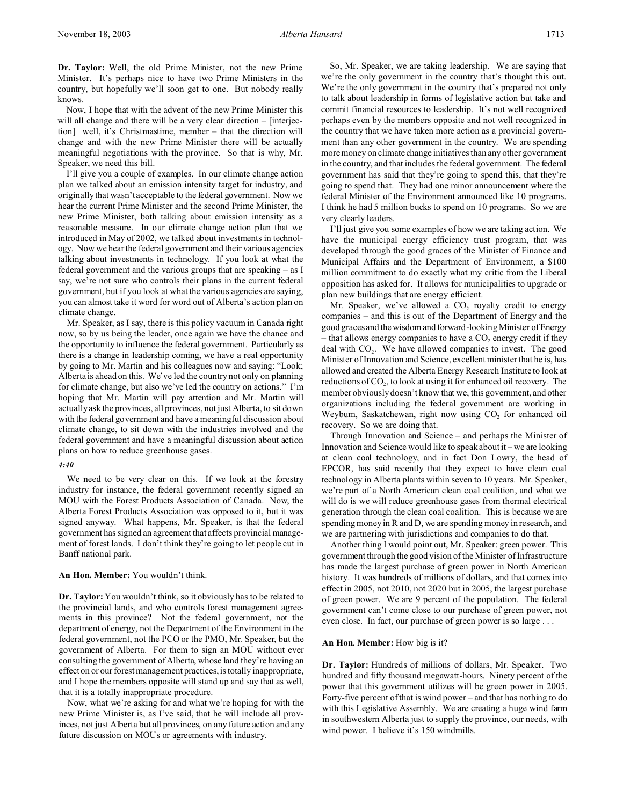**Dr. Taylor:** Well, the old Prime Minister, not the new Prime Minister. It's perhaps nice to have two Prime Ministers in the country, but hopefully we'll soon get to one. But nobody really knows.

Now, I hope that with the advent of the new Prime Minister this will all change and there will be a very clear direction – [interjection] well, it's Christmastime, member – that the direction will change and with the new Prime Minister there will be actually meaningful negotiations with the province. So that is why, Mr. Speaker, we need this bill.

I'll give you a couple of examples. In our climate change action plan we talked about an emission intensity target for industry, and originally that wasn't acceptable to the federal government. Now we hear the current Prime Minister and the second Prime Minister, the new Prime Minister, both talking about emission intensity as a reasonable measure. In our climate change action plan that we introduced in May of 2002, we talked about investments in technology. Now we hear the federal government and their various agencies talking about investments in technology. If you look at what the federal government and the various groups that are speaking – as I say, we're not sure who controls their plans in the current federal government, but if you look at what the various agencies are saying, you can almost take it word for word out of Alberta's action plan on climate change.

Mr. Speaker, as I say, there is this policy vacuum in Canada right now, so by us being the leader, once again we have the chance and the opportunity to influence the federal government. Particularly as there is a change in leadership coming, we have a real opportunity by going to Mr. Martin and his colleagues now and saying: "Look; Alberta is ahead on this. We've led the country not only on planning for climate change, but also we've led the country on actions." I'm hoping that Mr. Martin will pay attention and Mr. Martin will actually ask the provinces, all provinces, not just Alberta, to sit down with the federal government and have a meaningful discussion about climate change, to sit down with the industries involved and the federal government and have a meaningful discussion about action plans on how to reduce greenhouse gases.

#### *4:40*

We need to be very clear on this. If we look at the forestry industry for instance, the federal government recently signed an MOU with the Forest Products Association of Canada. Now, the Alberta Forest Products Association was opposed to it, but it was signed anyway. What happens, Mr. Speaker, is that the federal government has signed an agreement that affects provincial management of forest lands. I don't think they're going to let people cut in Banff national park.

#### **An Hon. Member:** You wouldn't think.

**Dr. Taylor:** You wouldn't think, so it obviously has to be related to the provincial lands, and who controls forest management agreements in this province? Not the federal government, not the department of energy, not the Department of the Environment in the federal government, not the PCO or the PMO, Mr. Speaker, but the government of Alberta. For them to sign an MOU without ever consulting the government of Alberta, whose land they're having an effect on or our forest management practices, is totally inappropriate, and I hope the members opposite will stand up and say that as well, that it is a totally inappropriate procedure.

Now, what we're asking for and what we're hoping for with the new Prime Minister is, as I've said, that he will include all provinces, not just Alberta but all provinces, on any future action and any future discussion on MOUs or agreements with industry.

So, Mr. Speaker, we are taking leadership. We are saying that we're the only government in the country that's thought this out. We're the only government in the country that's prepared not only to talk about leadership in forms of legislative action but take and commit financial resources to leadership. It's not well recognized perhaps even by the members opposite and not well recognized in the country that we have taken more action as a provincial government than any other government in the country. We are spending more money on climate change initiatives than any other government in the country, and that includes the federal government. The federal government has said that they're going to spend this, that they're going to spend that. They had one minor announcement where the federal Minister of the Environment announced like 10 programs. I think he had 5 million bucks to spend on 10 programs. So we are very clearly leaders.

I'll just give you some examples of how we are taking action. We have the municipal energy efficiency trust program, that was developed through the good graces of the Minister of Finance and Municipal Affairs and the Department of Environment, a \$100 million commitment to do exactly what my critic from the Liberal opposition has asked for. It allows for municipalities to upgrade or plan new buildings that are energy efficient.

Mr. Speaker, we've allowed a  $CO<sub>2</sub>$  royalty credit to energy companies – and this is out of the Department of Energy and the good graces and the wisdom and forward-looking Minister of Energy  $-$  that allows energy companies to have a CO<sub>2</sub> energy credit if they deal with  $CO<sub>2</sub>$ . We have allowed companies to invest. The good Minister of Innovation and Science, excellent minister that he is, has allowed and created the Alberta Energy Research Institute to look at reductions of  $CO<sub>2</sub>$ , to look at using it for enhanced oil recovery. The member obviously doesn't know that we, this government, and other organizations including the federal government are working in Weyburn, Saskatchewan, right now using  $CO<sub>2</sub>$  for enhanced oil recovery. So we are doing that.

Through Innovation and Science – and perhaps the Minister of Innovation and Science would like to speak about it – we are looking at clean coal technology, and in fact Don Lowry, the head of EPCOR, has said recently that they expect to have clean coal technology in Alberta plants within seven to 10 years. Mr. Speaker, we're part of a North American clean coal coalition, and what we will do is we will reduce greenhouse gases from thermal electrical generation through the clean coal coalition. This is because we are spending money in R and D, we are spending money in research, and we are partnering with jurisdictions and companies to do that.

Another thing I would point out, Mr. Speaker: green power. This government through the good vision of the Minister of Infrastructure has made the largest purchase of green power in North American history. It was hundreds of millions of dollars, and that comes into effect in 2005, not 2010, not 2020 but in 2005, the largest purchase of green power. We are 9 percent of the population. The federal government can't come close to our purchase of green power, not even close. In fact, our purchase of green power is so large . . .

#### **An Hon. Member:** How big is it?

**Dr. Taylor:** Hundreds of millions of dollars, Mr. Speaker. Two hundred and fifty thousand megawatt-hours. Ninety percent of the power that this government utilizes will be green power in 2005. Forty-five percent of that is wind power – and that has nothing to do with this Legislative Assembly. We are creating a huge wind farm in southwestern Alberta just to supply the province, our needs, with wind power. I believe it's 150 windmills.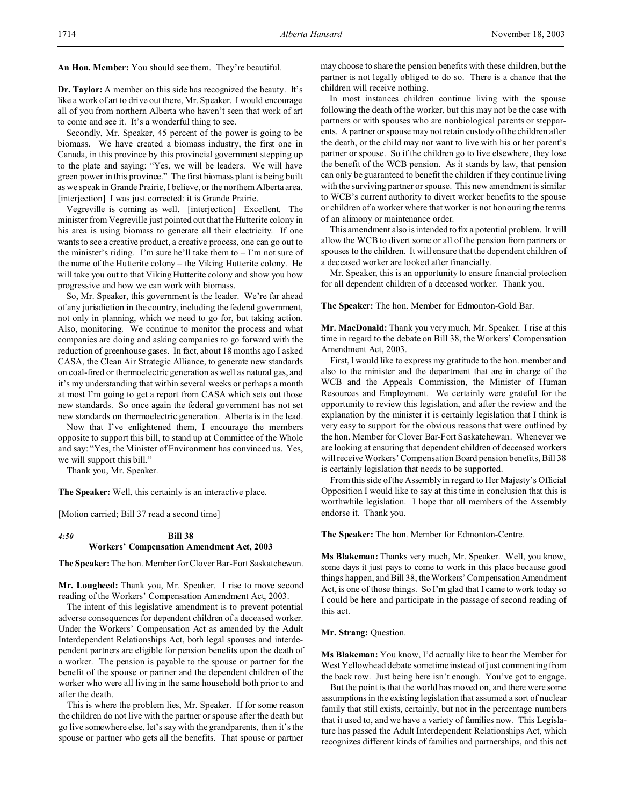**An Hon. Member:** You should see them. They're beautiful.

**Dr. Taylor:** A member on this side has recognized the beauty. It's like a work of art to drive out there, Mr. Speaker. I would encourage all of you from northern Alberta who haven't seen that work of art to come and see it. It's a wonderful thing to see.

Secondly, Mr. Speaker, 45 percent of the power is going to be biomass. We have created a biomass industry, the first one in Canada, in this province by this provincial government stepping up to the plate and saying: "Yes, we will be leaders. We will have green power in this province." The first biomass plant is being built as we speak in Grande Prairie, I believe, or the northern Alberta area. [interjection] I was just corrected: it is Grande Prairie.

Vegreville is coming as well. [interjection] Excellent. The minister from Vegreville just pointed out that the Hutterite colony in his area is using biomass to generate all their electricity. If one wants to see a creative product, a creative process, one can go out to the minister's riding. I'm sure he'll take them to  $-$  I'm not sure of the name of the Hutterite colony – the Viking Hutterite colony. He will take you out to that Viking Hutterite colony and show you how progressive and how we can work with biomass.

So, Mr. Speaker, this government is the leader. We're far ahead of any jurisdiction in the country, including the federal government, not only in planning, which we need to go for, but taking action. Also, monitoring. We continue to monitor the process and what companies are doing and asking companies to go forward with the reduction of greenhouse gases. In fact, about 18 months ago I asked CASA, the Clean Air Strategic Alliance, to generate new standards on coal-fired or thermoelectric generation as well as natural gas, and it's my understanding that within several weeks or perhaps a month at most I'm going to get a report from CASA which sets out those new standards. So once again the federal government has not set new standards on thermoelectric generation. Alberta is in the lead.

Now that I've enlightened them, I encourage the members opposite to support this bill, to stand up at Committee of the Whole and say: "Yes, the Minister of Environment has convinced us. Yes, we will support this bill."

Thank you, Mr. Speaker.

**The Speaker:** Well, this certainly is an interactive place.

[Motion carried; Bill 37 read a second time]

# *4:50* **Bill 38 Workers' Compensation Amendment Act, 2003**

**The Speaker:** The hon. Member for Clover Bar-Fort Saskatchewan.

**Mr. Lougheed:** Thank you, Mr. Speaker. I rise to move second reading of the Workers' Compensation Amendment Act, 2003.

The intent of this legislative amendment is to prevent potential adverse consequences for dependent children of a deceased worker. Under the Workers' Compensation Act as amended by the Adult Interdependent Relationships Act, both legal spouses and interdependent partners are eligible for pension benefits upon the death of a worker. The pension is payable to the spouse or partner for the benefit of the spouse or partner and the dependent children of the worker who were all living in the same household both prior to and after the death.

This is where the problem lies, Mr. Speaker. If for some reason the children do not live with the partner or spouse after the death but go live somewhere else, let's say with the grandparents, then it's the spouse or partner who gets all the benefits. That spouse or partner

may choose to share the pension benefits with these children, but the partner is not legally obliged to do so. There is a chance that the children will receive nothing.

In most instances children continue living with the spouse following the death of the worker, but this may not be the case with partners or with spouses who are nonbiological parents or stepparents. A partner or spouse may not retain custody of the children after the death, or the child may not want to live with his or her parent's partner or spouse. So if the children go to live elsewhere, they lose the benefit of the WCB pension. As it stands by law, that pension can only be guaranteed to benefit the children if they continue living with the surviving partner or spouse. This new amendment is similar to WCB's current authority to divert worker benefits to the spouse or children of a worker where that worker is not honouring the terms of an alimony or maintenance order.

This amendment also is intended to fix a potential problem. It will allow the WCB to divert some or all of the pension from partners or spouses to the children. It will ensure that the dependent children of a deceased worker are looked after financially.

Mr. Speaker, this is an opportunity to ensure financial protection for all dependent children of a deceased worker. Thank you.

**The Speaker:** The hon. Member for Edmonton-Gold Bar.

**Mr. MacDonald:** Thank you very much, Mr. Speaker. I rise at this time in regard to the debate on Bill 38, the Workers' Compensation Amendment Act, 2003.

First, I would like to express my gratitude to the hon. member and also to the minister and the department that are in charge of the WCB and the Appeals Commission, the Minister of Human Resources and Employment. We certainly were grateful for the opportunity to review this legislation, and after the review and the explanation by the minister it is certainly legislation that I think is very easy to support for the obvious reasons that were outlined by the hon. Member for Clover Bar-Fort Saskatchewan. Whenever we are looking at ensuring that dependent children of deceased workers will receive Workers' Compensation Board pension benefits, Bill 38 is certainly legislation that needs to be supported.

From this side of the Assembly in regard to Her Majesty's Official Opposition I would like to say at this time in conclusion that this is worthwhile legislation. I hope that all members of the Assembly endorse it. Thank you.

**The Speaker:** The hon. Member for Edmonton-Centre.

**Ms Blakeman:** Thanks very much, Mr. Speaker. Well, you know, some days it just pays to come to work in this place because good things happen, and Bill 38, the Workers' Compensation Amendment Act, is one of those things. So I'm glad that I came to work today so I could be here and participate in the passage of second reading of this act.

#### **Mr. Strang:** Question.

**Ms Blakeman:** You know, I'd actually like to hear the Member for West Yellowhead debate sometime instead of just commenting from the back row. Just being here isn't enough. You've got to engage.

But the point is that the world has moved on, and there were some assumptions in the existing legislation that assumed a sort of nuclear family that still exists, certainly, but not in the percentage numbers that it used to, and we have a variety of families now. This Legislature has passed the Adult Interdependent Relationships Act, which recognizes different kinds of families and partnerships, and this act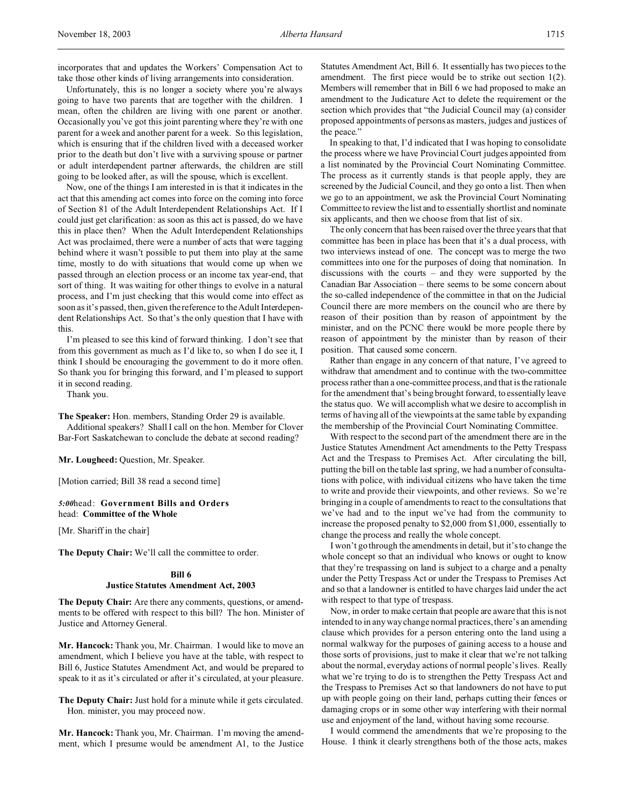incorporates that and updates the Workers' Compensation Act to take those other kinds of living arrangements into consideration.

Unfortunately, this is no longer a society where you're always going to have two parents that are together with the children. I mean, often the children are living with one parent or another. Occasionally you've got this joint parenting where they're with one parent for a week and another parent for a week. So this legislation, which is ensuring that if the children lived with a deceased worker prior to the death but don't live with a surviving spouse or partner or adult interdependent partner afterwards, the children are still going to be looked after, as will the spouse, which is excellent.

Now, one of the things I am interested in is that it indicates in the act that this amending act comes into force on the coming into force of Section 81 of the Adult Interdependent Relationships Act. If I could just get clarification: as soon as this act is passed, do we have this in place then? When the Adult Interdependent Relationships Act was proclaimed, there were a number of acts that were tagging behind where it wasn't possible to put them into play at the same time, mostly to do with situations that would come up when we passed through an election process or an income tax year-end, that sort of thing. It was waiting for other things to evolve in a natural process, and I'm just checking that this would come into effect as soon as it's passed, then, given the reference to the Adult Interdependent Relationships Act. So that's the only question that I have with this.

I'm pleased to see this kind of forward thinking. I don't see that from this government as much as I'd like to, so when I do see it, I think I should be encouraging the government to do it more often. So thank you for bringing this forward, and I'm pleased to support it in second reading.

Thank you.

**The Speaker:** Hon. members, Standing Order 29 is available.

Additional speakers? Shall I call on the hon. Member for Clover Bar-Fort Saskatchewan to conclude the debate at second reading?

**Mr. Lougheed:** Question, Mr. Speaker.

[Motion carried; Bill 38 read a second time]

*5:00*head: **Government Bills and Orders** head: **Committee of the Whole**

[Mr. Shariff in the chair]

**The Deputy Chair:** We'll call the committee to order.

#### **Bill 6**

# **Justice Statutes Amendment Act, 2003**

**The Deputy Chair:** Are there any comments, questions, or amendments to be offered with respect to this bill? The hon. Minister of Justice and Attorney General.

**Mr. Hancock:** Thank you, Mr. Chairman. I would like to move an amendment, which I believe you have at the table, with respect to Bill 6, Justice Statutes Amendment Act, and would be prepared to speak to it as it's circulated or after it's circulated, at your pleasure.

The Deputy Chair: Just hold for a minute while it gets circulated. Hon. minister, you may proceed now.

**Mr. Hancock:** Thank you, Mr. Chairman. I'm moving the amendment, which I presume would be amendment A1, to the Justice

Statutes Amendment Act, Bill 6. It essentially has two pieces to the amendment. The first piece would be to strike out section 1(2). Members will remember that in Bill 6 we had proposed to make an amendment to the Judicature Act to delete the requirement or the section which provides that "the Judicial Council may (a) consider proposed appointments of persons as masters, judges and justices of the peace."

In speaking to that, I'd indicated that I was hoping to consolidate the process where we have Provincial Court judges appointed from a list nominated by the Provincial Court Nominating Committee. The process as it currently stands is that people apply, they are screened by the Judicial Council, and they go onto a list. Then when we go to an appointment, we ask the Provincial Court Nominating Committee to review the list and to essentially shortlist and nominate six applicants, and then we choose from that list of six.

The only concern that has been raised over the three years that that committee has been in place has been that it's a dual process, with two interviews instead of one. The concept was to merge the two committees into one for the purposes of doing that nomination. In discussions with the courts – and they were supported by the Canadian Bar Association – there seems to be some concern about the so-called independence of the committee in that on the Judicial Council there are more members on the council who are there by reason of their position than by reason of appointment by the minister, and on the PCNC there would be more people there by reason of appointment by the minister than by reason of their position. That caused some concern.

Rather than engage in any concern of that nature, I've agreed to withdraw that amendment and to continue with the two-committee process rather than a one-committee process, and that is the rationale for the amendment that's being brought forward, to essentially leave the status quo. We will accomplish what we desire to accomplish in terms of having all of the viewpoints at the same table by expanding the membership of the Provincial Court Nominating Committee.

With respect to the second part of the amendment there are in the Justice Statutes Amendment Act amendments to the Petty Trespass Act and the Trespass to Premises Act. After circulating the bill, putting the bill on the table last spring, we had a number of consultations with police, with individual citizens who have taken the time to write and provide their viewpoints, and other reviews. So we're bringing in a couple of amendments to react to the consultations that we've had and to the input we've had from the community to increase the proposed penalty to \$2,000 from \$1,000, essentially to change the process and really the whole concept.

I won't go through the amendments in detail, but it's to change the whole concept so that an individual who knows or ought to know that they're trespassing on land is subject to a charge and a penalty under the Petty Trespass Act or under the Trespass to Premises Act and so that a landowner is entitled to have charges laid under the act with respect to that type of trespass.

Now, in order to make certain that people are aware that this is not intended to in any way change normal practices, there's an amending clause which provides for a person entering onto the land using a normal walkway for the purposes of gaining access to a house and those sorts of provisions, just to make it clear that we're not talking about the normal, everyday actions of normal people's lives. Really what we're trying to do is to strengthen the Petty Trespass Act and the Trespass to Premises Act so that landowners do not have to put up with people going on their land, perhaps cutting their fences or damaging crops or in some other way interfering with their normal use and enjoyment of the land, without having some recourse.

I would commend the amendments that we're proposing to the House. I think it clearly strengthens both of the those acts, makes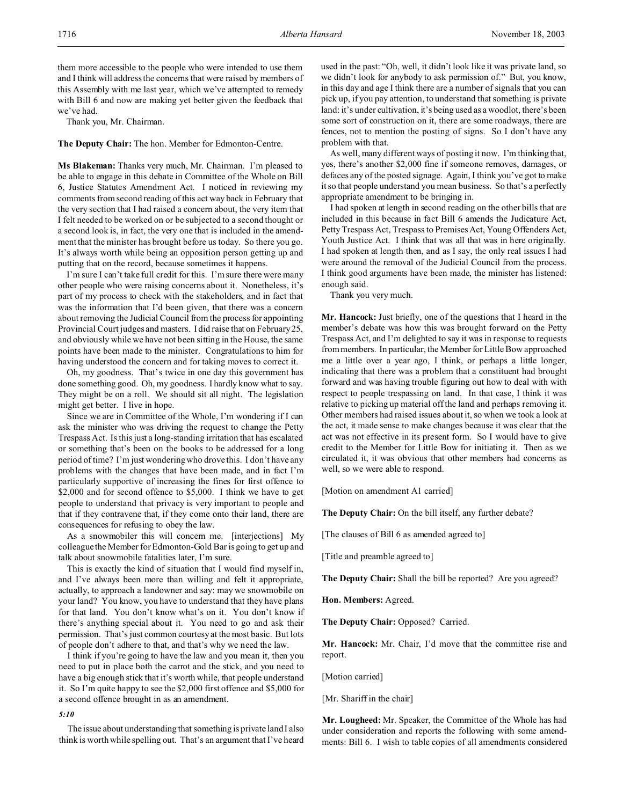them more accessible to the people who were intended to use them and I think will address the concerns that were raised by members of this Assembly with me last year, which we've attempted to remedy with Bill 6 and now are making yet better given the feedback that we've had.

Thank you, Mr. Chairman.

**The Deputy Chair:** The hon. Member for Edmonton-Centre.

**Ms Blakeman:** Thanks very much, Mr. Chairman. I'm pleased to be able to engage in this debate in Committee of the Whole on Bill 6, Justice Statutes Amendment Act. I noticed in reviewing my comments from second reading of this act way back in February that the very section that I had raised a concern about, the very item that I felt needed to be worked on or be subjected to a second thought or a second look is, in fact, the very one that is included in the amendment that the minister has brought before us today. So there you go. It's always worth while being an opposition person getting up and putting that on the record, because sometimes it happens.

I'm sure I can't take full credit for this. I'm sure there were many other people who were raising concerns about it. Nonetheless, it's part of my process to check with the stakeholders, and in fact that was the information that I'd been given, that there was a concern about removing the Judicial Council from the process for appointing Provincial Court judges and masters. I did raise that on February 25, and obviously while we have not been sitting in the House, the same points have been made to the minister. Congratulations to him for having understood the concern and for taking moves to correct it.

Oh, my goodness. That's twice in one day this government has done something good. Oh, my goodness. I hardly know what to say. They might be on a roll. We should sit all night. The legislation might get better. I live in hope.

Since we are in Committee of the Whole, I'm wondering if I can ask the minister who was driving the request to change the Petty Trespass Act. Is this just a long-standing irritation that has escalated or something that's been on the books to be addressed for a long period of time? I'm just wondering who drove this. I don't have any problems with the changes that have been made, and in fact I'm particularly supportive of increasing the fines for first offence to \$2,000 and for second offence to \$5,000. I think we have to get people to understand that privacy is very important to people and that if they contravene that, if they come onto their land, there are consequences for refusing to obey the law.

As a snowmobiler this will concern me. [interjections] My colleague the Member for Edmonton-Gold Bar is going to get up and talk about snowmobile fatalities later, I'm sure.

This is exactly the kind of situation that I would find myself in, and I've always been more than willing and felt it appropriate, actually, to approach a landowner and say: may we snowmobile on your land? You know, you have to understand that they have plans for that land. You don't know what's on it. You don't know if there's anything special about it. You need to go and ask their permission. That's just common courtesy at the most basic. But lots of people don't adhere to that, and that's why we need the law.

I think if you're going to have the law and you mean it, then you need to put in place both the carrot and the stick, and you need to have a big enough stick that it's worth while, that people understand it. So I'm quite happy to see the \$2,000 first offence and \$5,000 for a second offence brought in as an amendment.

#### *5:10*

The issue about understanding that something is private land I also think is worth while spelling out. That's an argument that I've heard used in the past: "Oh, well, it didn't look like it was private land, so we didn't look for anybody to ask permission of." But, you know, in this day and age I think there are a number of signals that you can pick up, if you pay attention, to understand that something is private land: it's under cultivation, it's being used as a woodlot, there's been some sort of construction on it, there are some roadways, there are fences, not to mention the posting of signs. So I don't have any problem with that.

As well, many different ways of posting it now. I'm thinking that, yes, there's another \$2,000 fine if someone removes, damages, or defaces any of the posted signage. Again, I think you've got to make it so that people understand you mean business. So that's a perfectly appropriate amendment to be bringing in.

I had spoken at length in second reading on the other bills that are included in this because in fact Bill 6 amends the Judicature Act, Petty Trespass Act, Trespass to Premises Act, Young Offenders Act, Youth Justice Act. I think that was all that was in here originally. I had spoken at length then, and as I say, the only real issues I had were around the removal of the Judicial Council from the process. I think good arguments have been made, the minister has listened: enough said.

Thank you very much.

**Mr. Hancock:** Just briefly, one of the questions that I heard in the member's debate was how this was brought forward on the Petty Trespass Act, and I'm delighted to say it was in response to requests from members. In particular, the Member for Little Bow approached me a little over a year ago, I think, or perhaps a little longer, indicating that there was a problem that a constituent had brought forward and was having trouble figuring out how to deal with with respect to people trespassing on land. In that case, I think it was relative to picking up material off the land and perhaps removing it. Other members had raised issues about it, so when we took a look at the act, it made sense to make changes because it was clear that the act was not effective in its present form. So I would have to give credit to the Member for Little Bow for initiating it. Then as we circulated it, it was obvious that other members had concerns as well, so we were able to respond.

[Motion on amendment A1 carried]

**The Deputy Chair:** On the bill itself, any further debate?

[The clauses of Bill 6 as amended agreed to]

[Title and preamble agreed to]

**The Deputy Chair:** Shall the bill be reported? Are you agreed?

**Hon. Members:** Agreed.

**The Deputy Chair:** Opposed? Carried.

**Mr. Hancock:** Mr. Chair, I'd move that the committee rise and report.

[Motion carried]

[Mr. Shariff in the chair]

**Mr. Lougheed:** Mr. Speaker, the Committee of the Whole has had under consideration and reports the following with some amendments: Bill 6. I wish to table copies of all amendments considered